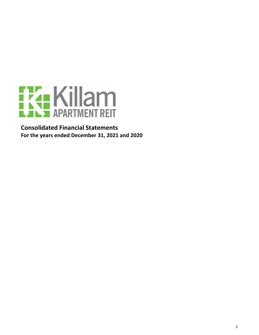

# **Consolidated Financial Statements** For the years ended December 31, 2021 and 2020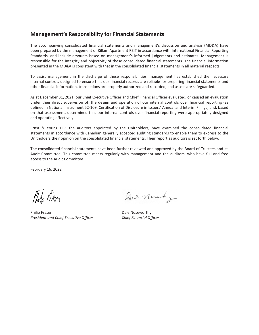### **Management's Responsibility for Financial Statements**

The accompanying consolidated financial statements and management's discussion and analysis (MD&A) have been prepared by the management of Killam Apartment REIT in accordance with International Financial Reporting Standards, and include amounts based on management's informed judgements and estimates. Management is responsible for the integrity and objectivity of these consolidated financial statements. The financial information presented in the MD&A is consistent with that in the consolidated financial statements in all material respects.

To assist management in the discharge of these responsibilities, management has established the necessary internal controls designed to ensure that our financial records are reliable for preparing financial statements and other financial information, transactions are properly authorized and recorded, and assets are safeguarded.

As at December 31, 2021, our Chief Executive Officer and Chief Financial Officer evaluated, or caused an evaluation under their direct supervision of, the design and operation of our internal controls over financial reporting (as defined in National Instrument 52-109, Certification of Disclosure in Issuers' Annual and Interim Filings) and, based on that assessment, determined that our internal controls over financial reporting were appropriately designed and operating effectively.

Ernst & Young LLP, the auditors appointed by the Unitholders, have examined the consolidated financial statements in accordance with Canadian generally accepted auditing standards to enable them to express to the Unitholders their opinion on the consolidated financial statements. Their report as auditors is set forth below.

The consolidated financial statements have been further reviewed and approved by the Board of Trustees and its Audit Committee. This committee meets regularly with management and the auditors, who have full and free access to the Audit Committee.

February 16, 2022

Philo Prozes

Philip Fraser **Dale Noseworthy** *President and Chief Executive Officer Chief Financial Officer*

Sel nomby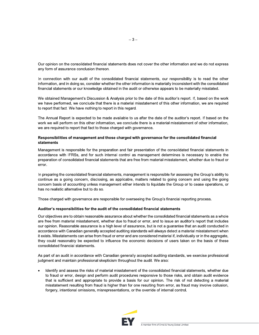Our opinion on the consolidated financial statements does not cover the other information and we do not express any form of assurance conclusion thereon.

In connection with our audit of the consolidated financial statements, our responsibility is to read the other information, and in doing so, consider whether the other information is materially inconsistent with the consolidated financial statements or our knowledge obtained in the audit or otherwise appears to be materially misstated.

We obtained Management's Discussion & Analysis prior to the date of this auditor's report. If, based on the work we have performed, we conclude that there is a material misstatement of this other information, we are required to report that fact. We have nothing to report in this regard.

The Annual Report is expected to be made available to us after the date of the auditor's report. If based on the work we will perform on this other information, we conclude there is a material misstatement of other information, we are required to report that fact to those charged with governance.

#### Responsibilities of management and those charged with governance for the consolidated financial statements

Management is responsible for the preparation and fair presentation of the consolidated financial statements in accordance with IFRSs, and for such internal control as management determines is necessary to enable the preparation of consolidated financial statements that are free from material misstatement, whether due to fraud or error.

In preparing the consolidated financial statements, management is responsible for assessing the Group's ability to continue as a going concern, disclosing, as applicable, matters related to going concern and using the going concern basis of accounting unless management either intends to liquidate the Group or to cease operations, or has no realistic alternative but to do so.

Those charged with governance are responsible for overseeing the Group's financial reporting process.

#### Auditor's responsibilities for the audit of the consolidated financial statements

Our objectives are to obtain reasonable assurance about whether the consolidated financial statements as a whole are free from material misstatement, whether due to fraud or error, and to issue an auditor's report that includes our opinion. Reasonable assurance is a high level of assurance, but is not a guarantee that an audit conducted in accordance with Canadian generally accepted auditing standards will always detect a material misstatement when it exists. Misstatements can arise from fraud or error and are considered material if, individually or in the aggregate, they could reasonably be expected to influence the economic decisions of users taken on the basis of these consolidated financial statements.

As part of an audit in accordance with Canadian generally accepted auditing standards, we exercise professional judgment and maintain professional skepticism throughout the audit. We also:

Identify and assess the risks of material misstatement of the consolidated financial statements, whether due to fraud or error, design and perform audit procedures responsive to those risks, and obtain audit evidence that is sufficient and appropriate to provide a basis for our opinion. The risk of not detecting a material misstatement resulting from fraud is higher than for one resulting from error, as fraud may involve collusion, forgery, intentional omissions, misrepresentations, or the override of internal control.

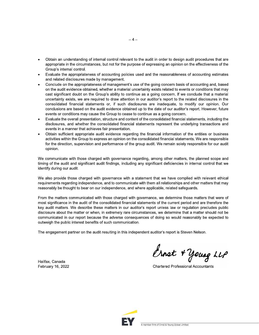- Obtain an understanding of internal control relevant to the audit in order to design audit procedures that are appropriate in the circumstances, but not for the purpose of expressing an opinion on the effectiveness of the Group's internal control.
- Evaluate the appropriateness of accounting policies used and the reasonableness of accounting estimates and related disclosures made by management.
- Conclude on the appropriateness of management's use of the going concern basis of accounting and, based on the audit evidence obtained, whether a material uncertainty exists related to events or conditions that may cast significant doubt on the Group's ability to continue as a going concern. If we conclude that a material uncertainty exists, we are required to draw attention in our auditor's report to the related disclosures in the consolidated financial statements or, if such disclosures are inadequate, to modify our opinion. Our conclusions are based on the audit evidence obtained up to the date of our auditor's report. However, future events or conditions may cause the Group to cease to continue as a going concern.
- Evaluate the overall presentation, structure and content of the consolidated financial statements, including the disclosures, and whether the consolidated financial statements represent the underlying transactions and events in a manner that achieves fair presentation.
- Obtain sufficient appropriate audit evidence regarding the financial information of the entities or business activities within the Group to express an opinion on the consolidated financial statements. We are responsible for the direction, supervision and performance of the group audit. We remain solely responsible for our audit opinion.

We communicate with those charged with governance regarding, among other matters, the planned scope and timing of the audit and significant audit findings, including any significant deficiencies in internal control that we identify during our audit.

We also provide those charged with governance with a statement that we have complied with relevant ethical requirements regarding independence, and to communicate with them all relationships and other matters that may reasonably be thought to bear on our independence, and where applicable, related safeguards.

From the matters communicated with those charged with governance, we determine those matters that were of most significance in the audit of the consolidated financial statements of the current period and are therefore the key audit matters. We describe these matters in our auditor's report unless law or regulation precludes public disclosure about the matter or when, in extremely rare circumstances, we determine that a matter should not be communicated in our report because the adverse consequences of doing so would reasonably be expected to outweigh the public interest benefits of such communication.

The engagement partner on the audit resulting in this independent auditor's report is Steven Nelson.

Halifax, Canada February 16, 2022

Crost + young LLP

**Chartered Professional Accountants** 

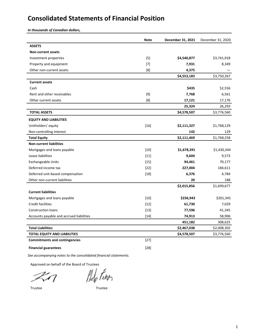# **Consolidated Statements of Financial Position**

*In thousands of Canadian dollars,* 

|                                          | <b>Note</b>       | December 31, 2021 | December 31, 2020 |
|------------------------------------------|-------------------|-------------------|-------------------|
| <b>ASSETS</b>                            |                   |                   |                   |
| <b>Non-current assets</b>                |                   |                   |                   |
| Investment properties                    | $\lceil 5 \rceil$ | \$4,540,877       | \$3,741,918       |
| Property and equipment                   | $[7]$             | 7,931             | 8,349             |
| Other non-current assets                 | [8]               | 4,375             |                   |
|                                          |                   | \$4,553,183       | \$3,750,267       |
| <b>Current assets</b>                    |                   |                   |                   |
| Cash                                     |                   | \$435             | \$2,556           |
| Rent and other receivables               | $[9]$             | 7,768             | 6,561             |
| Other current assets                     | [8]               | 17,121            | 17,176            |
|                                          |                   | 25,324            | 26,293            |
| <b>TOTAL ASSETS</b>                      |                   | \$4,578,507       | \$3,776,560       |
| <b>EQUITY AND LIABILITIES</b>            |                   |                   |                   |
| Unitholders' equity                      | $[16]$            | \$2,111,327       | \$1,768,129       |
| Non-controlling interest                 |                   | 142               | 129               |
| <b>Total Equity</b>                      |                   | \$2,111,469       | \$1,768,258       |
| <b>Non-current liabilities</b>           |                   |                   |                   |
| Mortgages and loans payable              | $[10]$            | \$1,678,391       | \$1,430,344       |
| Lease liabilities                        | $[11]$            | 9,604             | 9,573             |
| <b>Exchangeable Units</b>                | $[15]$            | 94,461            | 70,177            |
| Deferred income tax                      | $[22]$            | 227,004           | 184,611           |
| Deferred unit-based compensation         | $[18]$            | 6,376             | 4,784             |
| Other non-current liabilities            |                   | 20                | 188               |
|                                          |                   | \$2,015,856       | \$1,699,677       |
| <b>Current liabilities</b>               |                   |                   |                   |
| Mortgages and loans payable              | $[10]$            | \$236,943         | \$201,345         |
| <b>Credit facilities</b>                 | $[12]$            | 61,730            | 7,029             |
| <b>Construction loans</b>                | $[13]$            | 77,596            | 41,345            |
| Accounts payable and accrued liabilities | $[14]$            | 74,913            | 58,906            |
|                                          |                   | 451,182           | 308,625           |
| <b>Total Liabilities</b>                 |                   | \$2,467,038       | \$2,008,302       |
| <b>TOTAL EQUITY AND LIABILITIES</b>      |                   | \$4,578,507       | \$3,776,560       |
| <b>Commitments and contingencies</b>     | $[27]$            |                   |                   |
| <b>Financial guarantees</b>              | $[28]$            |                   |                   |

See accompanying notes to the consolidated financial statements.

Approved on behalf of the Board of Trustees

Philo Propes

Trustee Trustee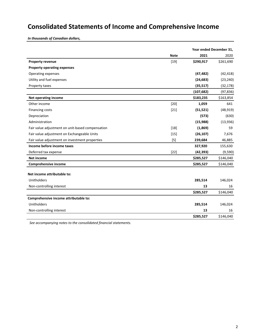# **Consolidated Statements of Income and Comprehensive Income**

**In thousands of Canadian dollars,** 

|                                                  |             | Year ended December 31, |           |
|--------------------------------------------------|-------------|-------------------------|-----------|
|                                                  | <b>Note</b> | 2021                    | 2020      |
| <b>Property revenue</b>                          | $[19]$      | \$290,917               | \$261,690 |
| <b>Property operating expenses</b>               |             |                         |           |
| Operating expenses                               |             | (47, 482)               | (42, 418) |
| Utility and fuel expenses                        |             | (24, 683)               | (23, 240) |
| Property taxes                                   |             | (35, 517)               | (32, 178) |
|                                                  |             | (107, 682)              | (97, 836) |
| Net operating income                             |             | \$183,235               | \$163,854 |
| Other income                                     | $[20]$      | 1,059                   | 641       |
| Financing costs                                  | $[21]$      | (51, 521)               | (48, 919) |
| Depreciation                                     |             | (573)                   | (630)     |
| Administration                                   |             | (15,988)                | (13,936)  |
| Fair value adjustment on unit-based compensation | $[18]$      | (1,869)                 | 59        |
| Fair value adjustment on Exchangeable Units      | $[15]$      | (26, 107)               | 7,676     |
| Fair value adjustment on investment properties   | $[5]$       | 239,684                 | 46,885    |
| Income before income taxes                       |             | 327,920                 | 155,630   |
| Deferred tax expense                             | $[22]$      | (42, 393)               | (9,590)   |
| <b>Net income</b>                                |             | \$285,527               | \$146,040 |
| Comprehensive income                             |             | \$285,527               | \$146,040 |
|                                                  |             |                         |           |
| Net income attributable to:                      |             |                         |           |
| Unitholders                                      |             | 285,514                 | 146,024   |
| Non-controlling interest                         |             | 13                      | 16        |
|                                                  |             | \$285,527               | \$146,040 |
| Comprehensive income attributable to:            |             |                         |           |
| <b>Unitholders</b>                               |             | 285,514                 | 146,024   |
| Non-controlling interest                         |             | 13                      | 16        |
|                                                  |             | \$285,527               | \$146,040 |

See accompanying notes to the consolidated financial statements.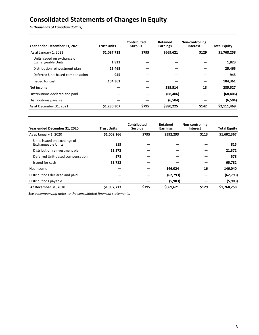# **Consolidated Statements of Changes in Equity**

*In thousands of Canadian dollars,* 

| Year ended December 31, 2021                             | <b>Trust Units</b> | Contributed<br><b>Surplus</b> | <b>Retained</b><br><b>Earnings</b> | Non-controlling<br><b>Interest</b> | <b>Total Equity</b> |
|----------------------------------------------------------|--------------------|-------------------------------|------------------------------------|------------------------------------|---------------------|
| As at January 1, 2021                                    | \$1,097,713        | \$795                         | \$669,621                          | \$129                              | \$1,768,258         |
| Units issued on exchange of<br><b>Exchangeable Units</b> | 1,823              |                               |                                    |                                    | 1,823               |
| Distribution reinvestment plan                           | 25,465             |                               |                                    |                                    | 25,465              |
| Deferred Unit-based compensation                         | 945                |                               |                                    |                                    | 945                 |
| Issued for cash                                          | 104,361            |                               |                                    |                                    | 104,361             |
| Net income                                               |                    |                               | 285,514                            | 13                                 | 285,527             |
| Distributions declared and paid                          |                    |                               | (68, 406)                          |                                    | (68, 406)           |
| Distributions payable                                    |                    |                               | (6,504)                            |                                    | (6, 504)            |
| As at December 31, 2021                                  | \$1,230,307        | \$795                         | \$880,225                          | \$142                              | \$2,111,469         |

| Year ended December 31, 2020                             | <b>Trust Units</b> | Contributed<br><b>Surplus</b> | Retained<br><b>Earnings</b> | Non-controlling<br><b>Interest</b> | <b>Total Equity</b> |
|----------------------------------------------------------|--------------------|-------------------------------|-----------------------------|------------------------------------|---------------------|
| As at January 1, 2020                                    | \$1,009,166        | \$795                         | \$592,293                   | \$113                              | \$1,602,367         |
| Units issued on exchange of<br><b>Exchangeable Units</b> | 815                |                               |                             |                                    | 815                 |
| Distribution reinvestment plan                           | 21,372             |                               |                             |                                    | 21,372              |
| Deferred Unit-based compensation                         | 578                |                               |                             |                                    | 578                 |
| Issued for cash                                          | 65,782             |                               |                             |                                    | 65,782              |
| Net income                                               |                    |                               | 146.024                     | 16                                 | 146,040             |
| Distributions declared and paid                          |                    |                               | (62, 793)                   |                                    | (62, 793)           |
| Distributions payable                                    |                    |                               | (5,903)                     |                                    | (5,903)             |
| At December 31, 2020                                     | \$1,097,713        | \$795                         | \$669,621                   | \$129                              | \$1,768,258         |

See accompanying notes to the consolidated financial statements.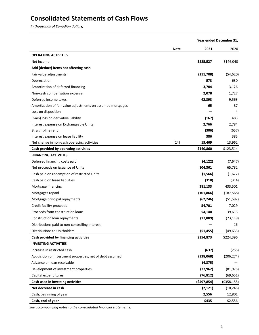# **Consolidated Statements of Cash Flows**

*In thousands of Canadian dollars,* 

|                                                             |             | Year ended December 31, |              |
|-------------------------------------------------------------|-------------|-------------------------|--------------|
|                                                             | <b>Note</b> | 2021                    | 2020         |
| <b>OPERATING ACTIVITIES</b>                                 |             |                         |              |
| Net income                                                  |             | \$285,527               | \$146,040    |
| Add (deduct) items not affecting cash                       |             |                         |              |
| Fair value adjustments                                      |             | (211,708)               | (54, 620)    |
| Depreciation                                                |             | 573                     | 630          |
| Amortization of deferred financing                          |             | 3,784                   | 3,126        |
| Non-cash compensation expense                               |             | 2,078                   | 1,727        |
| Deferred income taxes                                       |             | 42,393                  | 9,563        |
| Amortization of fair value adjustments on assumed mortgages |             | 65                      | 87           |
| Loss on disposition                                         |             |                         | 4            |
| (Gain) loss on derivative liability                         |             | (167)                   | 483          |
| Interest expense on Exchangeable Units                      |             | 2,766                   | 2,784        |
| Straight-line rent                                          |             | (306)                   | (657)        |
| Interest expense on lease liability                         |             | 386                     | 385          |
| Net change in non-cash operating activities                 | $[24]$      | 15,469                  | 13,962       |
| Cash provided by operating activities                       |             | \$140,860               | \$123,514    |
| <b>FINANCING ACTIVITIES</b>                                 |             |                         |              |
| Deferred financing costs paid                               |             | (4, 122)                | (7,647)      |
| Net proceeds on issuance of Units                           |             | 104,361                 | 65,782       |
| Cash paid on redemption of restricted Units                 |             | (1, 566)                | (1,672)      |
| Cash paid on lease liabilities                              |             | (318)                   | (314)        |
| Mortgage financing                                          |             | 381,133                 | 433,501      |
| Mortgages repaid                                            |             | (101, 866)              | (187, 568)   |
| Mortgage principal repayments                               |             | (62, 246)               | (51, 592)    |
| Credit facility proceeds                                    |             | 54,701                  | 7,029        |
| Proceeds from construction loans                            |             | 54,140                  | 39,613       |
| Construction loan repayments                                |             | (17, 889)               | (23, 119)    |
| Distributions paid to non-controlling interest              |             |                         | 16           |
| Distributions to Unitholders                                |             | (51, 455)               | (49, 633)    |
| Cash provided by financing activities                       |             | \$354,873               | \$224,396    |
| <b>INVESTING ACTIVITIES</b>                                 |             |                         |              |
| Increase in restricted cash                                 |             | (637)                   | (255)        |
| Acquisition of investment properties, net of debt assumed   |             | (338,068)               | (206, 274)   |
| Advance on loan receivable                                  |             | (4, 375)                |              |
| Development of investment properties                        |             | (77, 962)               | (81, 975)    |
| Capital expenditures                                        |             | (76, 812)               | (69, 651)    |
| Cash used in investing activities                           |             | (5497, 854)             | ( \$358,155) |
| Net decrease in cash                                        |             | (2, 121)                | (10, 245)    |
| Cash, beginning of year                                     |             | 2,556                   | 12,801       |
| Cash, end of year                                           |             | \$435                   | \$2,556      |

See accompanying notes to the consolidated financial statements.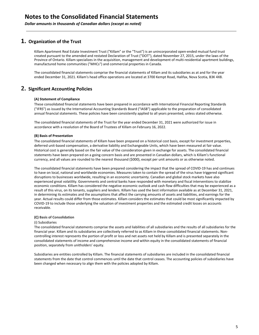### 1. Organization of the Trust

Killam Apartment Real Estate Investment Trust ("Killam" or the "Trust") is an unincorporated open-ended mutual fund trust created pursuant to the amended and restated Declaration of Trust ("DOT"), dated November 27, 2015, under the laws of the Province of Ontario. Killam specializes in the acquisition, management and development of multi-residential apartment buildings, manufactured home communities ("MHCs") and commercial properties in Canada.

The consolidated financial statements comprise the financial statements of Killam and its subsidiaries as at and for the year ended December 31, 2021. Killam's head office operations are located at 3700 Kempt Road, Halifax, Nova Scotia, B3K 4X8.

### **2. Significant Accounting Policies**

#### **(A) Statement of Compliance**

These consolidated financial statements have been prepared in accordance with International Financial Reporting Standards ("IFRS") as issued by the International Accounting Standards Board ("IASB") applicable to the preparation of consolidated annual financial statements. These policies have been consistently applied to all years presented, unless stated otherwise.

The consolidated financial statements of the Trust for the year ended December 31, 2021 were authorized for issue in accordance with a resolution of the Board of Trustees of Killam on February 16, 2022.

#### **(B) Basis of Presentation**

The consolidated financial statements of Killam have been prepared on a historical cost basis, except for investment properties, deferred unit-based compensation, a derivative liability and Exchangeable Units, which have been measured at fair value. Historical cost is generally based on the fair value of the consideration given in exchange for assets. The consolidated financial statements have been prepared on a going concern basis and are presented in Canadian dollars, which is Killam's functional currency, and all values are rounded to the nearest thousand (\$000), except per unit amounts or as otherwise noted.

The consolidated financial statements have been prepared considering the impact that the spread of COVID-19 has and continues to have on local, national and worldwide economies. Measures taken to contain the spread of the virus have triggered significant disruptions to businesses worldwide, resulting in an economic uncertainty. Canadian and global stock markets have also experienced great volatility. Governments and central banks have responded with monetary and fiscal interventions to stabilize economic conditions. Killam has considered the negative economic outlook and cash flow difficulties that may be experienced as a result of this virus, on its tenants, suppliers and lenders. Killam has used the best information available as at December 31, 2021, in determining its estimates and the assumptions that affect the carrying amounts of assets and liabilities, and earnings for the year. Actual results could differ from those estimates. Killam considers the estimates that could be most significantly impacted by COVID-19 to include those underlying the valuation of investment properties and the estimated credit losses on accounts receivable.

#### **(C) Basis of Consolidation**

#### (i) Subsidiaries

The consolidated financial statements comprise the assets and liabilities of all subsidiaries and the results of all subsidiaries for the financial year. Killam and its subsidiaries are collectively referred to as Killam in these consolidated financial statements. Noncontrolling interest represents the portion of profit or loss and net assets not held by Killam and is presented separately in the consolidated statements of income and comprehensive income and within equity in the consolidated statements of financial position, separately from unitholders' equity.

Subsidiaries are entities controlled by Killam. The financial statements of subsidiaries are included in the consolidated financial statements from the date that control commences until the date that control ceases. The accounting policies of subsidiaries have been changed when necessary to align them with the policies adopted by Killam.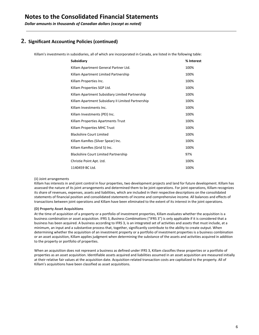# **Notes to the Consolidated Financial Statements**

**Dollar amounts in thousands of Canadian dollars (except as noted)** 

### **2. Significant Accounting Policies (continued)**

Killam's investments in subsidiaries, all of which are incorporated in Canada, are listed in the following table:

| Subsidiary                                         | % Interest |
|----------------------------------------------------|------------|
| Killam Apartment General Partner Ltd.              | 100%       |
| Killam Apartment Limited Partnership               | 100%       |
| Killam Properties Inc.                             | 100%       |
| Killam Properties SGP Ltd.                         | 100%       |
| Killam Apartment Subsidiary Limited Partnership    | 100%       |
| Killam Apartment Subsidiary II Limited Partnership | 100%       |
| Killam Investments Inc.                            | 100%       |
| Killam Investments (PEI) Inc.                      | 100%       |
| Killam Properties Apartments Trust                 | 100%       |
| Killam Properties MHC Trust                        | 100%       |
| <b>Blackshire Court Limited</b>                    | 100%       |
| Killam KamRes (Silver Spear) Inc.                  | 100%       |
| Killam KamRes (Grid 5) Inc.                        | 100%       |
| <b>Blackshire Court Limited Partnership</b>        | 97%        |
| Christie Point Apt. Ltd.                           | 100%       |
| 1140459 BC Ltd.                                    | 100%       |
|                                                    |            |

#### (ii) Joint arrangements

Killam has interests in and joint control in four properties, two development projects and land for future development. Killam has assessed the nature of its joint arrangements and determined them to be joint operations. For joint operations, Killam recognizes its share of revenues, expenses, assets and liabilities, which are included in their respective descriptions on the consolidated statements of financial position and consolidated statements of income and comprehensive income. All balances and effects of transactions between joint operations and Killam have been eliminated to the extent of its interest in the joint operations.

#### **(D) Property Asset Acquisitions**

At the time of acquisition of a property or a portfolio of investment properties, Killam evaluates whether the acquisition is a business combination or asset acquisition. IFRS 3, *Business Combinations* ("IFRS 3") is only applicable if it is considered that a business has been acquired. A business according to IFRS 3, is an integrated set of activities and assets that must include, at a minimum, an input and a substantive process that, together, significantly contribute to the ability to create output. When determining whether the acquisition of an investment property or a portfolio of investment properties is a business combination or an asset acquisition, Killam applies judgment when determining the substance of the assets and activities acquired in addition to the property or portfolio of properties.

When an acquisition does not represent a business as defined under IFRS 3, Killam classifies these properties or a portfolio of properties as an asset acquisition. Identifiable assets acquired and liabilities assumed in an asset acquisition are measured initially at their relative fair values at the acquisition date. Acquisition-related transaction costs are capitalized to the property. All of Killam's acquisitions have been classified as asset acquisitions.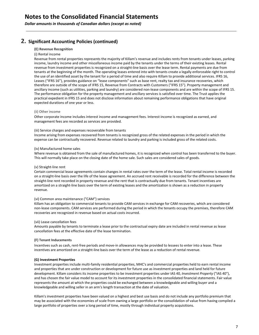### **2.** Significant Accounting Policies (continued)

#### **(E) Revenue Recognition**

#### (i) Rental income

Revenue from rental properties represents the majority of Killam's revenue and includes rents from tenants under leases, parking income, laundry income and other miscellaneous income paid by the tenants under the terms of their existing leases. Rental revenue from investment properties is recognized on a straight-line basis over the lease term. Rental payments are due from tenants at the beginning of the month. The operating leases entered into with tenants create a legally enforceable right to control the use of an identified asset by the tenant for a period of time and also require Killam to provide additional services. IFRS 16, Leases ("IFRS 16"), provides guidance on "lease components" such as base rent, realty tax and insurance recoveries, which therefore are outside of the scope of IFRS 15, Revenue from Contracts with Customers ("IFRS 15"). Property management and ancillary income (such as utilities, parking and laundry) are considered non-lease components and are within the scope of IFRS 15. The performance obligation for the property management and ancillary services is satisfied over time. The Trust applies the practical expedient in IFRS 15 and does not disclose information about remaining performance obligations that have original expected durations of one year or less.

#### (ii) Other income

Other corporate income includes interest income and management fees. Interest income is recognized as earned, and management fees are recorded as services are provided.

#### (iii) Service charges and expenses recoverable from tenants

Income arising from expenses recovered from tenants is recognized gross of the related expenses in the period in which the expense can be contractually recovered. Revenue related to laundry and parking is included gross of the related costs.

#### (iv) Manufactured home sales

Where revenue is obtained from the sale of manufactured homes, it is recognized when control has been transferred to the buyer. This will normally take place on the closing date of the home sale. Such sales are considered sales of goods.

#### (v) Straight-line rent

Certain commercial lease agreements contain changes in rental rates over the term of the lease. Total rental income is recorded on a straight-line basis over the life of the lease agreement. An accrued rent receivable is recorded for the difference between the straight-line rent recorded in property revenue and the rent that is contractually due from tenants. Tenant incentives are amortized on a straight-line basis over the term of existing leases and the amortization is shown as a reduction in property revenue. 

#### (vi) Common area maintenance ("CAM") services

Killam has an obligation to commercial tenants to provide CAM services in exchange for CAM recoveries, which are considered non-lease components. CAM services are performed during the period in which the tenants occupy the premises, therefore CAM recoveries are recognized in revenue based on actual costs incurred.

#### (vii) Lease cancellation fees

Amounts payable by tenants to terminate a lease prior to the contractual expiry date are included in rental revenue as lease cancellation fees at the effective date of the lease termination.

#### **(F) Tenant Inducements**

Incentives such as cash, rent-free periods and move-in allowances may be provided to lessees to enter into a lease. These incentives are amortized on a straight-line basis over the term of the lease as a reduction of rental revenue.

#### **(G) Investment Properties**

Investment properties include multi-family residential properties, MHC's and commercial properties held to earn rental income and properties that are under construction or development for future use as investment properties and land held for future development. Killam considers its income properties to be investment properties under IAS 40, Investment Property ("IAS 40"), and has chosen the fair value model to account for its investment properties in the consolidated financial statements. Fair value represents the amount at which the properties could be exchanged between a knowledgeable and willing buyer and a knowledgeable and willing seller in an arm's length transaction at the date of valuation.

Killam's investment properties have been valued on a highest and best use basis and do not include any portfolio premium that may be associated with the economies of scale from owning a large portfolio or the consolidation of value from having compiled a large portfolio of properties over a long period of time, mostly through individual property acquisitions.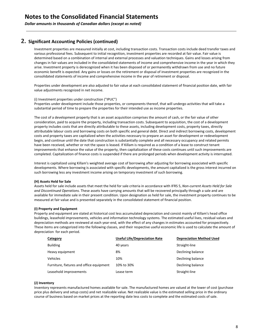### **2.** Significant Accounting Policies (continued)

Investment properties are measured initially at cost, including transaction costs. Transaction costs include deed transfer taxes and various professional fees. Subsequent to initial recognition, investment properties are recorded at fair value. Fair value is determined based on a combination of internal and external processes and valuation techniques. Gains and losses arising from changes in fair values are included in the consolidated statements of income and comprehensive income in the year in which they arise. Investment property is derecognized when it has been disposed of or permanently withdrawn from use and no future economic benefit is expected. Any gains or losses on the retirement or disposal of investment properties are recognized in the consolidated statements of income and comprehensive income in the year of retirement or disposal.

Properties under development are also adjusted to fair value at each consolidated statement of financial position date, with fair value adjustments recognized in net income.

#### (i) Investment properties under construction ("IPUC")

Properties under development include those properties, or components thereof, that will undergo activities that will take a substantial period of time to prepare the properties for their intended use as income properties.

The cost of a development property that is an asset acquisition comprises the amount of cash, or the fair value of other consideration, paid to acquire the property, including transaction costs. Subsequent to acquisition, the cost of a development property includes costs that are directly attributable to these assets, including development costs, property taxes, directly attributable labour costs and borrowing costs on both specific and general debt. Direct and indirect borrowing costs, development costs and property taxes are capitalized when the activities necessary to prepare an asset for development or redevelopment begin, and continue until the date that construction is substantially complete and all necessary occupancy and related permits have been received, whether or not the space is leased. If Killam is required as a condition of a lease to construct tenant improvements that enhance the value of the property, then capitalization of these costs continues until such improvements are completed. Capitalization of finance costs is suspended if there are prolonged periods when development activity is interrupted.

Interest is capitalized using Killam's weighted average cost of borrowing after adjusting for borrowing associated with specific developments. Where borrowing is associated with specific developments, the amount capitalized is the gross interest incurred on such borrowing less any investment income arising on temporary investment of such borrowing.

#### **(H) Assets Held for Sale**

Assets held for sale include assets that meet the held for sale criteria in accordance with IFRS 5, *Non-current Assets Held for Sale* and Discontinued Operations. These assets have carrying amounts that will be recovered principally through a sale and are available for immediate sale in their present condition. Upon designation as held for sale, the investment property continues to be measured at fair value and is presented separately in the consolidated statement of financial position.

#### **(I) Property and Equipment**

Property and equipment are stated at historical cost less accumulated depreciation and consist mainly of Killam's head office buildings, leasehold improvements, vehicles and information technology systems. The estimated useful lives, residual values and depreciation methods are reviewed at each year-end, with the effect of any changes in estimates accounted for prospectively. These items are categorized into the following classes, and their respective useful economic life is used to calculate the amount of depreciation for each period.

| Category                                 | <b>Useful Life/Depreciation Rate</b> | <b>Depreciation Method Used</b> |
|------------------------------------------|--------------------------------------|---------------------------------|
| <b>Building</b>                          | 40 years                             | Straight-line                   |
| Heavy equipment                          | 8%                                   | Declining balance               |
| Vehicles                                 | 10%                                  | Declining balance               |
| Furniture, fixtures and office equipment | 10% to 30%                           | Declining balance               |
| Leasehold improvements                   | Lease term                           | Straight-line                   |

#### **(J) Inventory**

Inventory represents manufactured homes available for sale. The manufactured homes are valued at the lower of cost (purchase price plus delivery and setup costs) and net realizable value. Net realizable value is the estimated selling price in the ordinary course of business based on market prices at the reporting date less costs to complete and the estimated costs of sale.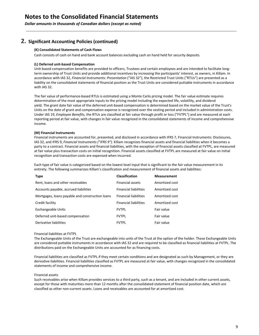### **2. Significant Accounting Policies (continued)**

#### **(K) Consolidated Statements of Cash Flows**

Cash consists of cash on hand and bank account balances excluding cash on hand held for security deposits.

#### **(L) Deferred unit-based Compensation**

Unit-based compensation benefits are provided to officers, Trustees and certain employees and are intended to facilitate longterm ownership of Trust Units and provide additional incentives by increasing the participants' interest, as owners, in Killam. In accordance with IAS 32, *Financial Instruments: Presentation* ("IAS 32"), the Restricted Trust Units ("RTUs") are presented as a liability on the consolidated statements of financial position as the Trust Units are considered puttable instruments in accordance with IAS 32.

The fair value of performance-based RTUs is estimated using a Monte Carlo pricing model. The fair value estimate requires determination of the most appropriate inputs to the pricing model including the expected life, volatility, and dividend yield. The grant date fair value of the deferred unit-based compensation is determined based on the market value of the Trust's Units on the date of grant and compensation expense is recognized over the vesting period and included in administration costs. Under IAS 19, *Employee Benefits*, the RTUs are classified at fair value through profit or loss ("FVTPL") and are measured at each reporting period at fair value, with changes in fair value recognized in the consolidated statements of income and comprehensive income. 

#### **(M) Financial Instruments**

Financial instruments are accounted for, presented, and disclosed in accordance with IFRS 7, Financial Instruments: Disclosures, IAS 32, and IFRS 9, *Financial Instruments ("IFRS 9")*. Killam recognizes financial assets and financial liabilities when it becomes a party to a contract. Financial assets and financial liabilities, with the exception of financial assets classified at FVTPL, are measured at fair value plus transaction costs on initial recognition. Financial assets classified at FVTPL are measured at fair value on initial recognition and transaction costs are expensed when incurred.

Each type of fair value is categorized based on the lowest level input that is significant to the fair value measurement in its entirety. The following summarizes Killam's classification and measurement of financial assets and liabilities:

| <b>Type</b>                                     | <b>Classification</b>        | <b>Measurement</b> |
|-------------------------------------------------|------------------------------|--------------------|
| Rent, loans and other receivables               | <b>Financial assets</b>      | Amortized cost     |
| Accounts payable, accrued liabilities           | <b>Financial liabilities</b> | Amortized cost     |
| Mortgages, loans payable and construction loans | <b>Financial liabilities</b> | Amortized cost     |
| Credit facility                                 | <b>Financial liabilities</b> | Amortized cost     |
| <b>Exchangeable Units</b>                       | <b>FVTPL</b>                 | Fair value         |
| Deferred unit-based compensation                | <b>FVTPL</b>                 | Fair value         |
| Derivative liabilities                          | <b>FVTPL</b>                 | Fair value         |

#### Financial liabilities at FVTPL

The Exchangeable Units of the Trust are exchangeable into units of the Trust at the option of the holder. These Exchangeable Units are considered puttable instruments in accordance with IAS 32 and are required to be classified as financial liabilities at FVTPL. The distributions paid on the Exchangeable Units are accounted for as financing costs.

Financial liabilities are classified as FVTPL if they meet certain conditions and are designated as such by Management, or they are derivative liabilities. Financial liabilities classified as FVTPL are measured at fair value, with changes recognized in the consolidated statements of income and comprehensive income.

#### Financial assets

Such receivables arise when Killam provides services to a third party, such as a tenant, and are included in other current assets, except for those with maturities more than 12 months after the consolidated statement of financial position date, which are classified as other non-current assets. Loans and receivables are accounted for at amortized cost.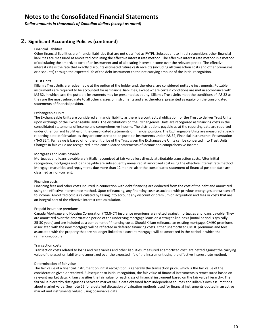### **2. Significant Accounting Policies (continued)**

#### **Financial liabilities**

Other financial liabilities are financial liabilities that are not classified as FVTPL. Subsequent to initial recognition, other financial liabilities are measured at amortized cost using the effective interest rate method. The effective interest rate method is a method of calculating the amortized cost of an instrument and of allocating interest income over the relevant period. The effective interest rate is the rate that exactly discounts estimated future cash receipts (including all transaction costs and other premiums or discounts) through the expected life of the debt instrument to the net carrying amount of the initial recognition.

#### **Trust Units**

Killam's Trust Units are redeemable at the option of the holder and, therefore, are considered puttable instruments. Puttable instruments are required to be accounted for as financial liabilities, except where certain conditions are met in accordance with IAS 32, in which case the puttable instruments may be presented as equity. Killam's Trust Units meet the conditions of IAS 32 as they are the most subordinate to all other classes of instruments and are, therefore, presented as equity on the consolidated statements of financial position.

#### Exchangeable Units

The Exchangeable Units are considered a financial liability as there is a contractual obligation for the Trust to deliver Trust Units upon exchange of the Exchangeable Units. The distributions on the Exchangeable Units are recognized as financing costs in the consolidated statements of income and comprehensive income. The distributions payable as at the reporting date are reported under other current liabilities on the consolidated statements of financial position. The Exchangeable Units are measured at each reporting date at fair value, as they are considered to be puttable instruments under IAS 32, Financial Instruments: Presentation ("IAS 32"). Fair value is based off of the unit price of the Trust given the Exchangeable Units can be converted into Trust Units. Changes in fair value are recognized in the consolidated statements of income and comprehensive income.

#### Mortgages and loans payable

Mortgages and loans payable are initially recognized at fair value less directly attributable transaction costs. After initial recognition, mortgages and loans payable are subsequently measured at amortized cost using the effective interest rate method. Mortgage maturities and repayments due more than 12 months after the consolidated statement of financial position date are classified as non-current.

#### Financing costs

Financing fees and other costs incurred in connection with debt financing are deducted from the cost of the debt and amortized using the effective interest rate method. Upon refinancing, any financing costs associated with previous mortgages are written off to income. Amortized cost is calculated by taking into account any discount or premium on acquisition and fees or costs that are an integral part of the effective interest rate calculation.

#### Prepaid insurance premiums

Canada Mortgage and Housing Corporation ("CMHC") insurance premiums are netted against mortgages and loans payable. They are amortized over the amortization period of the underlying mortgage loans on a straight-line basis (initial period is typically 25-30 years) and are included as a component of financing costs. Should Killam refinance an existing mortgage, CMHC premiums associated with the new mortgage will be reflected in deferred financing costs. Other unamortized CMHC premiums and fees associated with the property that are no longer linked to a current mortgage will be amortized in the period in which the refinancing occurs.

#### Transaction costs

Transaction costs related to loans and receivables and other liabilities, measured at amortized cost, are netted against the carrying value of the asset or liability and amortized over the expected life of the instrument using the effective interest rate method.

#### Determination of fair value

The fair value of a financial instrument on initial recognition is generally the transaction price, which is the fair value of the consideration given or received. Subsequent to initial recognition, the fair value of financial instruments is remeasured based on relevant market data. Killam classifies the fair value for each class of financial instrument based on the fair value hierarchy. The fair value hierarchy distinguishes between market value data obtained from independent sources and Killam's own assumptions about market value. See note 25 for a detailed discussion of valuation methods used for financial instruments quoted in an active market and instruments valued using observable data.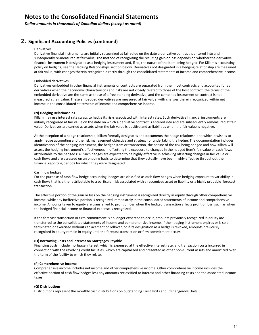### **2. Significant Accounting Policies (continued)**

#### Derivatives

Derivative financial instruments are initially recognized at fair value on the date a derivative contract is entered into and subsequently re-measured at fair value. The method of recognizing the resulting gain or loss depends on whether the derivative financial instrument is designated as a hedging instrument and, if so, the nature of the item being hedged. For Killam's accounting policy on hedging, see the Hedging Relationships section below. Derivatives not designated in a hedging relationship are measured at fair value, with changes therein recognized directly through the consolidated statements of income and comprehensive income.

#### Embedded derivatives

Derivatives embedded in other financial instruments or contracts are separated from their host contracts and accounted for as derivatives when their economic characteristics and risks are not closely related to those of the host contract; the terms of the embedded derivative are the same as those of a free-standing derivative; and the combined instrument or contract is not measured at fair value. These embedded derivatives are measured at fair value, with changes therein recognized within net income in the consolidated statements of income and comprehensive income.

#### **(N) Hedging Relationships**

Killam may use interest rate swaps to hedge its risks associated with interest rates. Such derivative financial instruments are initially recognized at fair value on the date on which a derivative contract is entered into and are subsequently remeasured at fair value. Derivatives are carried as assets when the fair value is positive and as liabilities when the fair value is negative.

At the inception of a hedge relationship, Killam formally designates and documents the hedge relationship to which it wishes to apply hedge accounting and the risk management objective and strategy for undertaking the hedge. The documentation includes identification of the hedging instrument, the hedged item or transaction, the nature of the risk being hedged and how Killam will assess the hedging instrument's effectiveness in offsetting the exposure to changes in the hedged item's fair value or cash flows attributable to the hedged risk. Such hedges are expected to be highly effective in achieving offsetting changes in fair value or cash flows and are assessed on an ongoing basis to determine that they actually have been highly effective throughout the financial reporting periods for which they were designated.

#### Cash flow hedges

For the purpose of cash flow hedge accounting, hedges are classified as cash flow hedges when hedging exposure to variability in cash flows that is either attributable to a particular risk associated with a recognized asset or liability or a highly probable forecast transaction.

The effective portion of the gain or loss on the hedging instrument is recognized directly in equity through other comprehensive income, while any ineffective portion is recognized immediately in the consolidated statements of income and comprehensive income. Amounts taken to equity are transferred to profit or loss when the hedged transaction affects profit or loss, such as when the hedged financial income or financial expense is recognized.

If the forecast transaction or firm commitment is no longer expected to occur, amounts previously recognized in equity are transferred to the consolidated statements of income and comprehensive income. If the hedging instrument expires or is sold, terminated or exercised without replacement or rollover, or if its designation as a hedge is revoked, amounts previously recognized in equity remain in equity until the forecast transaction or firm commitment occurs.

#### **(O) Borrowing Costs and Interest on Mortgages Payable**

Financing costs include mortgage interest, which is expensed at the effective interest rate, and transaction costs incurred in connection with the revolving credit facilities, which are capitalized and presented as other non-current assets and amortized over the term of the facility to which they relate.

#### **(P) Comprehensive Income**

Comprehensive income includes net income and other comprehensive income. Other comprehensive income includes the effective portion of cash flow hedges less any amounts reclassified to interest and other financing costs and the associated income taxes.

#### **(Q) Distributions**

Distributions represent the monthly cash distributions on outstanding Trust Units and Exchangeable Units.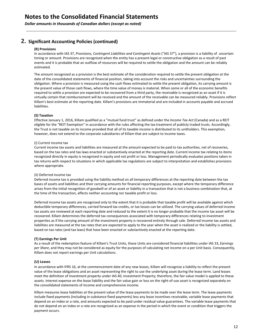### **2. Significant Accounting Policies (continued)**

#### **(R) Provisions**

In accordance with IAS 37, Provisions, Contingent Liabilities and Contingent Assets ("IAS 37"), a provision is a liability of uncertain timing or amount. Provisions are recognized when the entity has a present legal or constructive obligation as a result of past events and it is probable that an outflow of resources will be required to settle the obligation and the amount can be reliably estimated. 

The amount recognized as a provision is the best estimate of the consideration required to settle the present obligation at the date of the consolidated statements of financial position, taking into account the risks and uncertainties surrounding the obligation. Where a provision is measured using the cash flows estimated to settle the present obligation, its carrying amount is the present value of those cash flows, where the time value of money is material. When some or all of the economic benefits required to settle a provision are expected to be recovered from a third party, the receivable is recognized as an asset if it is virtually certain that reimbursement will be received and the amount of the receivable can be measured reliably. Provisions reflect Killam's best estimate at the reporting date. Killam's provisions are immaterial and are included in accounts payable and accrued liabilities.

#### **(S) Taxation**

Effective January 1, 2016, Killam qualified as a "mutual fund trust" as defined under the *Income Tax Act* (Canada) and as a REIT eligible for the "REIT Exemption" in accordance with the rules affecting the tax treatment of publicly traded trusts. Accordingly, the Trust is not taxable on its income provided that all of its taxable income is distributed to its unitholders. This exemption, however, does not extend to the corporate subsidiaries of Killam that are subject to income taxes.

#### (i) Current income tax

Current income tax assets and liabilities are measured at the amount expected to be paid to tax authorities, net of recoveries, based on the tax rates and tax laws enacted or substantively enacted at the reporting date. Current income tax relating to items recognized directly in equity is recognized in equity and not profit or loss. Management periodically evaluates positions taken in tax returns with respect to situations in which applicable tax regulations are subject to interpretation and establishes provisions where appropriate.

#### (ii) Deferred income tax

Deferred income tax is provided using the liability method on all temporary differences at the reporting date between the tax bases of assets and liabilities and their carrying amounts for financial reporting purposes, except where the temporary difference arises from the initial recognition of goodwill or of an asset or liability in a transaction that is not a business combination that, at the time of the transaction, affects neither accounting nor taxable profit or loss.

Deferred income tax assets are recognized only to the extent that it is probable that taxable profit will be available against which deductible temporary differences, carried forward tax credits, or tax losses can be utilized. The carrying values of deferred income tax assets are reviewed at each reporting date and reduced to the extent it is no longer probable that the income tax asset will be recovered. Killam determines the deferred tax consequences associated with temporary differences relating to investment properties as if the carrying amount of the investment property is recovered entirely through sale. Deferred income tax assets and liabilities are measured at the tax rates that are expected to apply to the year when the asset is realized or the liability is settled, based on tax rates (and tax laws) that have been enacted or substantively enacted at the reporting date.

#### **(T) Earnings Per Unit**

As a result of the redemption feature of Killam's Trust Units, these Units are considered financial liabilities under IAS 33, *Earnings per Share*, and they may not be considered as equity for the purposes of calculating net income on a per Unit basis. Consequently, Killam does not report earnings per Unit calculations.

#### **(U) Leases**

In accordance with IFRS 16, at the commencement date of any new leases, Killam will recognize a liability to reflect the present value of the lease obligations and an asset representing the right to use the underlying asset during the lease term. Land leases meet the definition of investment property under IAS 40, Investment Property; therefore, the fair value model is applied to these assets. Interest expense on the lease liability and the fair value gain or loss on the right-of-use asset is recognized separately on the consolidated statements of income and comprehensive income.

Killam measures lease liabilities at the present value of the lease payments to be made over the lease term. The lease payments include fixed payments (including in-substance fixed payments) less any lease incentives receivable, variable lease payments that depend on an index or a rate, and amounts expected to be paid under residual value guarantees. The variable lease payments that do not depend on an index or a rate are recognized as an expense in the period in which the event or condition that triggers the payment occurs.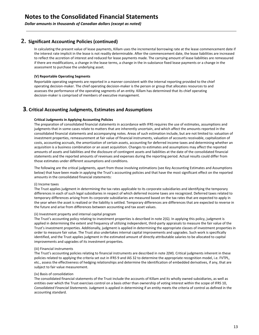### **2.** Significant Accounting Policies (continued)

In calculating the present value of lease payments, Killam uses the incremental borrowing rate at the lease commencement date if the interest rate implicit in the lease is not readily determinable. After the commencement date, the lease liabilities are increased to reflect the accretion of interest and reduced for lease payments made. The carrying amount of lease liabilities are remeasured if there are modifications, a change in the lease terms, a change in the in-substance fixed lease payments or a change in the assessment to purchase the underlying asset.

#### **(V) Reportable Operating Segments**

Reportable operating segments are reported in a manner consistent with the internal reporting provided to the chief operating decision-maker. The chief operating decision-maker is the person or group that allocates resources to and assesses the performance of the operating segments of an entity. Killam has determined that its chief operating decision-maker is comprised of members of executive management.

### **3. Critical Accounting Judgments, Estimates and Assumptions**

#### **Critical Judgments in Applying Accounting Policies**

The preparation of consolidated financial statements in accordance with IFRS requires the use of estimates, assumptions and judgments that in some cases relate to matters that are inherently uncertain, and which affect the amounts reported in the consolidated financial statements and accompanying notes. Areas of such estimation include, but are not limited to: valuation of investment properties, remeasurement at fair value of financial instruments, valuation of accounts receivable, capitalization of costs, accounting accruals, the amortization of certain assets, accounting for deferred income taxes and determining whether an acquisition is a business combination or an asset acquisition. Changes to estimates and assumptions may affect the reported amounts of assets and liabilities and the disclosure of contingent assets and liabilities at the date of the consolidated financial statements and the reported amounts of revenues and expenses during the reporting period. Actual results could differ from those estimates under different assumptions and conditions.

The following are the critical judgments, apart from those involving estimations (see Key Accounting Estimates and Assumptions below) that have been made in applying the Trust's accounting policies and that have the most significant effect on the reported amounts in the consolidated financial statements:

#### (i) Income taxes

The Trust applies judgment in determining the tax rates applicable to its corporate subsidiaries and identifying the temporary differences in each of such legal subsidiaries in respect of which deferred income taxes are recognized. Deferred taxes related to temporary differences arising from its corporate subsidiaries are measured based on the tax rates that are expected to apply in the year when the asset is realized or the liability is settled. Temporary differences are differences that are expected to reverse in the future and arise from differences between accounting and tax asset values.

#### (ii) Investment property and internal capital program

The Trust's accounting policy relating to investment properties is described in note 2(G). In applying this policy, judgment is applied in determining the extent and frequency of utilizing independent, third-party appraisals to measure the fair value of the Trust's investment properties. Additionally, judgment is applied in determining the appropriate classes of investment properties in order to measure fair value. The Trust also undertakes internal capital improvements and upgrades. Such work is specifically identified, and the Trust applies judgment in the estimated amount of directly attributable salaries to be allocated to capital improvements and upgrades of its investment properties.

#### (iii) Financial instruments

The Trust's accounting policies relating to financial instruments are described in note 2(M). Critical judgments inherent in these policies related to applying the criteria set out in IFRS 9 and IAS 32 to determine the appropriate recognition model, i.e. FVTPL, etc., assess the effectiveness of hedging relationships and determine the identification of embedded derivatives, if any, that are subject to fair value measurement.

#### (iv) Basis of consolidation

The consolidated financial statements of the Trust include the accounts of Killam and its wholly owned subsidiaries, as well as entities over which the Trust exercises control on a basis other than ownership of voting interest within the scope of IFRS 10, Consolidated Financial Statements. Judgment is applied in determining if an entity meets the criteria of control as defined in the accounting standard.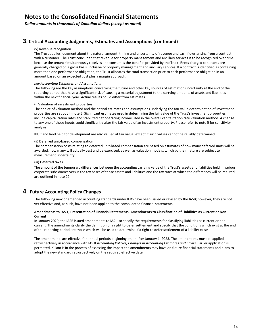### **3**. Critical Accounting Judgments, Estimates and Assumptions (continued)

#### (v) Revenue recognition

The Trust applies judgment about the nature, amount, timing and uncertainty of revenue and cash flows arising from a contract with a customer. The Trust concluded that revenue for property management and ancillary services is to be recognized over time because the tenant simultaneously receives and consumes the benefits provided by the Trust. Rents charged to tenants are generally charged on a gross basis, inclusive of property management and ancillary services. If a contract is identified as containing more than one performance obligation, the Trust allocates the total transaction price to each performance obligation in an amount based on an expected cost plus a margin approach.

#### *Key Accounting Estimates and Assumptions*

The following are the key assumptions concerning the future and other key sources of estimation uncertainty at the end of the reporting period that have a significant risk of causing a material adjustment to the carrying amounts of assets and liabilities within the next financial year. Actual results could differ from estimates.

#### (i) Valuation of investment properties

The choice of valuation method and the critical estimates and assumptions underlying the fair value determination of investment properties are set out in note 5. Significant estimates used in determining the fair value of the Trust's investment properties include capitalization rates and stabilized net operating income used in the overall capitalization rate valuation method. A change to any one of these inputs could significantly alter the fair value of an investment property. Please refer to note 5 for sensitivity analysis. 

IPUC and land held for development are also valued at fair value, except if such values cannot be reliably determined.

#### (ii) Deferred unit-based compensation

The compensation costs relating to deferred unit-based compensation are based on estimates of how many deferred units will be awarded, how many will actually vest and be exercised, as well as valuation models, which by their nature are subject to measurement uncertainty.

#### (iii) Deferred taxes

The amount of the temporary differences between the accounting carrying value of the Trust's assets and liabilities held in various corporate subsidiaries versus the tax bases of those assets and liabilities and the tax rates at which the differences will be realized are outlined in note 22.

### **4. Future Accounting Policy Changes**

The following new or amended accounting standards under IFRS have been issued or revised by the IASB; however, they are not yet effective and, as such, have not been applied to the consolidated financial statements.

#### Amendments to IAS 1, Presentation of Financial Statements, Amendments to Classification of Liabilities as Current or Non-**Current**

In January 2020, the IASB issued amendments to IAS 1 to specify the requirements for classifying liabilities as current or noncurrent. The amendments clarify the definition of a right to defer settlement and specify that the conditions which exist at the end of the reporting period are those which will be used to determine if a right to defer settlement of a liability exists.

The amendments are effective for annual periods beginning on or after January 1, 2023. The amendments must be applied retrospectively in accordance with IAS 8 Accounting Policies, Changes in Accounting Estimates and Errors. Earlier application is permitted. Killam is in the process of assessing the impact the amendments may have on future financial statements and plans to adopt the new standard retrospectively on the required effective date.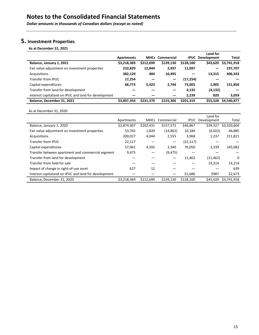# **Notes to the Consolidated Financial Statements**

**Dollar amounts in thousands of Canadian dollars (except as noted)** 

# **5.** Investment Properties

**As at December 31, 2021**

|                                                       | <b>Apartments</b> |           | <b>MHCs Commercial</b> |           | Land for<br><b>IPUC Development</b> | Total       |
|-------------------------------------------------------|-------------------|-----------|------------------------|-----------|-------------------------------------|-------------|
|                                                       |                   |           |                        |           |                                     |             |
| Balance, January 1, 2021                              | \$3,218,369       | \$212,699 | \$139,130              | \$128,100 | \$43,620                            | \$3,741,918 |
| Fair value adjustment on investment properties        | 210,829           | 12,844    | 2,937                  | 11,097    |                                     | 237,707     |
| Acquisitions                                          | 382,129           | 404       | 10,495                 |           | 13,315                              | 406,343     |
| Transfer from IPUC                                    | 17,254            |           | —                      | (17, 254) |                                     |             |
| Capital expenditures                                  | 68,773            | 5,423     | 2,744                  | 73,005    | 1,905                               | 151,850     |
| Transfer from land for development                    |                   |           |                        | 4,132     | (4, 132)                            |             |
| Interest capitalized on IPUC and land for development |                   |           | –                      | 2,239     | 820                                 | 3,059       |
| Balance, December 31, 2021                            | \$3,897,354       | \$231,370 | \$155,306              | \$201,319 | \$55,528                            | \$4,540,877 |

As at December 31, 2020

|                                                       |             |             |            |             | Land for    |             |
|-------------------------------------------------------|-------------|-------------|------------|-------------|-------------|-------------|
|                                                       | Apartments  | <b>MHCs</b> | Commercial | <b>IPUC</b> | Development | Total       |
| Balance, January 1, 2020                              | \$2,874,407 | \$202,431   | \$157,572  | \$46,867    | \$39,327    | \$3,320,604 |
| Fair value adjustment on investment properties        | 53,765      | 1,820       | (14, 862)  | 10,184      | (4,022)     | 46,885      |
| Acquisitions                                          | 200,017     | 4,044       | 2,555      | 3,968       | 1,237       | 211,821     |
| Transfer from IPUC                                    | 22,117      |             |            | (22, 117)   |             |             |
| Capital expenditures                                  | 57,961      | 4,392       | 3,340      | 76,050      | 3,339       | 145,082     |
| Transfer between apartment and commercial segment     | 9,475       |             | (9, 475)   |             |             |             |
| Transfer from land for development                    |             |             | –          | 11,462      | (11, 462)   | $\Omega$    |
| Transfer from held for sale                           |             |             |            |             | 14,214      | 14,214      |
| Impact of change in right-of-use asset                | 627         | 12          |            |             |             | 639         |
| Interest capitalized on IPUC and land for development |             |             |            | \$1,686     | \$987       | \$2,673     |
| Balance, December 31, 2020                            | \$3,218,369 | \$212.699   | \$139.130  | \$128.100   | \$43.620    | \$3,741,918 |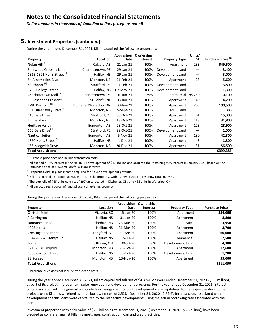### **5.** Investment Properties (continued)

During the year ended December 31, 2021, Killam acquired the following properties:

|                                        |                        | <b>Acquisition Ownership</b> |          |                      | Units/ |                               |
|----------------------------------------|------------------------|------------------------------|----------|----------------------|--------|-------------------------------|
| Property                               | Location               | Date                         | Interest | <b>Property Type</b> | SF     | Purchase Price <sup>(1)</sup> |
| Nolan Hill $^{(2)}$                    | Calgary, AB            | 21-Jan-21                    | 100%     | Apartment            | 233    | \$49,500                      |
| Sherwood Crossing Land                 | Charlottetown, PE      | 29-Jan-21                    | 100%     | Development Land     |        | 3,400                         |
| 1313-1321 Hollis Street <sup>(3)</sup> | Halifax, NS            | 29-Jan-21                    | 100%     | Development Land     |        | 3,000                         |
| 54 Assomption Blvd                     | Moncton, NB            | 01-Feb-21                    | 100%     | Apartment            | 23     | 5,600                         |
| Southport <sup>(3)</sup>               | Stratford, PE          | 01-Feb-21                    | 100%     | Development Land     |        | 3,800                         |
| 5735 College Street                    | Halifax, NS            | 07-May-21                    | 100%     | Development Land     |        | 1,300                         |
| Charlottetown Mall <sup>(4)</sup>      | Charlottetown, PE      | 01-Jun-21                    | 25%      | Commercial           | 95,750 | 10,100                        |
| 38 Pasadena Crescent                   | St. John's, NL         | 08-Jun-21                    | 100%     | Apartment            | 40     | 4,200                         |
| KWC Portfolio <sup>(5)</sup>           | Kitchener/Waterloo, ON | 30-Jun-21                    | 100%     | Apartment            | 785    | 190,500                       |
| 131 Queensway Drive <sup>(6)</sup>     | Moncton, NB            | 15-Sept-21                   | 100%     | MHC Land             |        | 385                           |
| 140 Dale Drive                         | Stratford, PE          | 06-Oct-21                    | 100%     | Apartment            | 61     | 15,300                        |
| Emma Place                             | Moncton, NB            | 18-Oct-21                    | 100%     | Apartment            | 118    | 31,800                        |
| <b>Heritage Valley</b>                 | Edmonton, AB           | 28-Oct-21                    | 100%     | Apartment            | 123    | 28,900                        |
| 160 Dale Drive <sup>(3)</sup>          | Stratford, PE          | 29-Oct-21                    | 100%     | Development Land     |        | 1,500                         |
| <b>Nautical Suites</b>                 | Edmonton, AB           | 9-Nov-21                     | 100%     | Apartment            | 180    | 42,300                        |
| 1350 Hollis Street <sup>(3)</sup>      | Halifax, NS            | $1-Dec-21$                   | 100%     | Apartment            | 3      | 1,300                         |
| 155 Kedgwick Drive                     | Moncton, NB            | 20-Dec-21                    | 100%     | Apartment            | 31     | \$6,500                       |
| <b>Total Acquisitions</b>              |                        |                              |          |                      |        | \$399,385                     |

 $<sup>(1)</sup>$  Purchase price does not include transaction costs.</sup>

 $^{(2)}$  Killam had a 10% interest in the Nolan Hill development of \$4.8 million and acquired the remaining 90% interest in January 2021, based on the purchase price of \$55.0 million for a 100% interest.

 $^{(3)}$  Properties with in-place income acquired for future development potential.

 $<sup>(4)</sup>$  Killam acquired an additional 25% interest in the property, with its ownership interest now totalling 75%.</sup>

<sup>(5)</sup> The portfolio of 785 units consists of 297 units located in Kitchener, ON, and 488 units in Waterloo, ON.

 $<sup>(6)</sup>$  Killam acquired a parcel of land adjacent an existing property.</sup>

| During the year ended December 31, 2020, Killam acquired the following properties: |  |  |
|------------------------------------------------------------------------------------|--|--|
|------------------------------------------------------------------------------------|--|--|

|                            |              | Acquisition     | Ownership       |                      |                               |
|----------------------------|--------------|-----------------|-----------------|----------------------|-------------------------------|
| Property                   | Location     | Date            | <b>Interest</b> | <b>Property Type</b> | Purchase Price <sup>(1)</sup> |
| Christie Point             | Victoria, BC | 15-Jan-20       | 100%            | Apartment            | \$54,000                      |
| 9 Carrington               | Halifax, NS  | $31$ -Jan-20    | 100%            | Apartment            | 8,800                         |
| Domaine Parlee             | Shediac, NB  | 23-Mar-20       | 100%            | <b>MHC</b>           | 3,950                         |
| 1325 Hollis                | Halifax, NS  | 31-Mar-20       | 100%            | Apartment            | 3,700                         |
| <b>Crossing at Belmont</b> | Langford, BC | 30-Apr-20       | 100%            | Apartment            | 60,000                        |
| 3644 & 3670 Kempt Rd       | Halifax, NS  | $15$ -Jul- $20$ | 100%            | Commercial           | 2,500                         |
| Luma                       | Ottawa, ON   | 30-Jul-20       | 50%             | Development Land     | 4,300                         |
| 171 & 181 Leopold          | Moncton, NB  | 26-Oct-20       | 100%            | Apartment            | 17,600                        |
| 1538 Carlton Street        | Halifax, NS  | 30-Oct-20       | 100%            | Development Land     | 1,200                         |
| 88 Sunset                  | Moncton, NB  | 13-Nov-20       | 100%            | Apartment            | 55,000                        |
| <b>Total Acquisitions</b>  |              |                 |                 |                      | \$211,050                     |

 $<sup>(1)</sup>$  Purchase price does not include transaction costs.</sup>

During the year ended December 31, 2021, Killam capitalized salaries of \$4.3 million (year ended December 31, 2020 - \$3.8 million), as part of its project improvement, suite renovation and development programs. For the year ended December 31, 2021, interest costs associated with the general corporate borrowings used to fund development were capitalized to the respective development projects using Killam's weighted average borrowing rate of 2.52% (December 31, 2020 - 2.69%). Interest costs associated with development specific loans were capitalized to the respective developments using the actual borrowing rate associated with the loan.

Investment properties with a fair value of \$4.3 billion as at December 31, 2021 (December 31, 2020 - \$3.5 billion), have been pledged as collateral against Killam's mortgages, construction loan and credit facilities.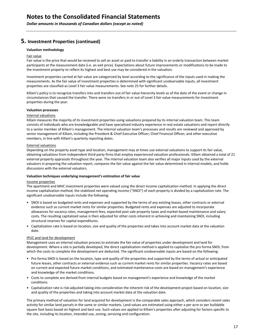### **5. Investment Properties (continued)**

#### **Valuation methodology**

#### Fair value

Fair value is the price that would be received to sell an asset or paid to transfer a liability in an orderly transaction between market participants at the measurement date (i.e. an exit price). Expectations about future improvements or modifications to be made to the investment property to reflect its highest and best use may be considered in the valuation.

Investment properties carried at fair value are categorized by level according to the significance of the inputs used in making the measurements. As the fair value of investment properties is determined with significant unobservable inputs, all investment properties are classified as Level 3 fair value measurements. See note 25 for further details.

Killam's policy is to recognize transfers into and transfers out of fair value hierarchy levels as of the date of the event or change in circumstances that caused the transfer. There were no transfers in or out of Level 3 fair value measurements for investment properties during the year.

#### **Valuation processes**

#### Internal valuations

Killam measures the majority of its investment properties using valuations prepared by its internal valuation team. This team consists of individuals who are knowledgeable and have specialized industry experience in real estate valuations and report directly to a senior member of Killam's management. The internal valuation team's processes and results are reviewed and approved by senior management of Killam, including the President & Chief Executive Officer; Chief Financial Officer; and other executive members, in line with Killam's quarterly reporting dates.

#### **External valuations**

Depending on the property asset type and location, management may at times use external valuations to support its fair value, obtaining valuations from independent third-party firms that employ experienced valuation professionals. Killam obtained a total of 21 external property appraisals throughout the year. The internal valuation team also verifies all major inputs used by the external valuators in preparing the valuation report, compares the fair value against the fair value determined in internal models, and holds discussions with the external valuators.

#### Valuation techniques underlying management's estimation of fair value

#### Income properties

The apartment and MHC investment properties were valued using the direct income capitalization method. In applying the direct income capitalization method, the stabilized net operating income ("SNOI") of each property is divided by a capitalization rate. The significant unobservable inputs include the following:

- SNOI is based on budgeted rents and expenses and supported by the terms of any existing leases, other contracts or external evidence such as current market rents for similar properties. Budgeted rents and expenses are adjusted to incorporate allowances for vacancy rates, management fees, expected post sale property taxes and market-based maintenance and salary costs. The resulting capitalized value is then adjusted for other costs inherent in achieving and maintaining SNOI, including structural reserves for capital expenditures.
- Capitalization rate is based on location, size and quality of the properties and takes into account market data at the valuation date.

#### IPUC and land for development

Management uses an internal valuation process to estimate the fair value of properties under development and land for development. Where a site is partially developed, the direct capitalization method is applied to capitalize the pro forma SNOI, from which the costs to complete the development are deducted. The significant unobservable inputs are based on the following:

- Pro forma SNOI is based on the location, type and quality of the properties and supported by the terms of actual or anticipated future leases, other contracts or external evidence such as current market rents for similar properties. Vacancy rates are based on current and expected future market conditions, and estimated maintenance costs are based on management's experience and knowledge of the market conditions.
- Costs to complete are derived from internal budgets based on management's experience and knowledge of the market conditions.
- Capitalization rate is risk-adjusted taking into consideration the inherent risk of the development project based on location, size and quality of the properties and taking into account market data at the valuation date.

The primary method of valuation for land acquired for development is the comparable sales approach, which considers recent sales activity for similar land parcels in the same or similar markets. Land values are estimated using either a per acre or per buildable square foot basis based on highest and best use. Such values are applied to Killam's properties after adjusting for factors specific to the site, including its location, intended use, zoning, servicing and configuration.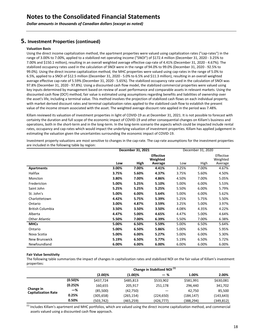### **5. Investment Properties (continued)**

#### **Valuation Basis**

Using the direct income capitalization method, the apartment properties were valued using capitalization rates ("cap-rates") in the range of 3.00% to 7.00%, applied to a stabilized net operating income ("SNOI") of \$172.4 million (December 31, 2020 - 3.25% to 7.00% and \$150.1 million), resulting in an overall weighted average effective cap-rate of 4.41% (December 31, 2020 - 4.67%). The stabilized occupancy rates used in the calculation of SNOI were in the range of 94.0% to 99.0% (December 31, 2020 - 92.5% to 99.0%). Using the direct income capitalization method, the MHC properties were valued using cap-rates in the range of 5.0% to 6.5%, applied to a SNOI of \$12.5 million (December 31, 2020 - 5.0% to 6.5% and \$11.3 million), resulting in an overall weighted average effective cap-rate of 5.59% (December 31, 2020 - 5.65%). The stabilized occupancy rate used in the calculation of SNOI was 97.8% (December 31, 2020 - 97.8%). Using a discounted cash flow model, the stabilized commercial properties were valued using key inputs determined by management based on review of asset performance and comparable assets in relevant markets. Using the discounted cash flow (DCF) method, fair value is estimated using assumptions regarding benefits and liabilities of ownership over the asset's life, including a terminal value. This method involves the projection of stabilized cash flows on each individual property, with market derived discount rates and terminal capitalization rates applied to the stabilized cash flow to establish the present value of the income stream associated with the asset. The weighted average discount rate applied in the period was 7.48%.

Killam reviewed its valuation of investment properties in light of COVID-19 as at December 31, 2021. It is not possible to forecast with certainty the duration and full scope of the economic impact of COVID-19 and other consequential changes on Killam's business and operations, both in the short-term and in the long-term. In the long-term scenario the aspects which could be impacted include rental rates, occupancy and cap-rates which would impact the underlying valuation of investment properties. Killam has applied judgement in estimating the valuation given the uncertainties surrounding the economic impact of COVID-19.

Investment property valuations are most sensitive to changes in the cap-rate. The cap-rate assumptions for the investment properties are included in the following table by region:

|                         | December 31, 2021 |       |                                         |       | December 31, 2020 |                                  |  |
|-------------------------|-------------------|-------|-----------------------------------------|-------|-------------------|----------------------------------|--|
|                         | Low               | High  | <b>Effective</b><br>Weighted<br>Average | Low   | High              | Effective<br>Weighted<br>Average |  |
| <b>Apartments</b>       | 3.00%             | 7.00% | 4.41%                                   | 3.25% | 7.00%             | 4.67%                            |  |
| <b>Halifax</b>          | 3.75%             | 5.60% | 4.37%                                   | 3.75% | 5.60%             | 4.50%                            |  |
| Moncton                 | 3.80%             | 7.00% | 4.86%                                   | 4.50% | 7.00%             | 5.05%                            |  |
| Fredericton             | 5.00%             | 5.25% | 5.10%                                   | 5.00% | 6.00%             | 5.53%                            |  |
| Saint John              | 5.25%             | 5.25% | 5.25%                                   | 5.50% | 6.00%             | 5.79%                            |  |
| St. John's              | 5.00%             | 6.00% | 5.64%                                   | 5.00% | 6.00%             | 5.62%                            |  |
| Charlottetown           | 4.42%             | 5.75% | 5.39%                                   | 5.25% | 5.75%             | 5.50%                            |  |
| Ontario                 | 3.00%             | 4.87% | 3.59%                                   | 3.25% | 5.00%             | 3.97%                            |  |
| <b>British Columbia</b> | 3.50%             | 3.50% | 3.50%                                   | 4.08% | 4.35%             | 4.22%                            |  |
| Alberta                 | 4.47%             | 5.00% | 4.65%                                   | 4.47% | 5.00%             | 4.64%                            |  |
| Other Atlantic          | 5.50%             | 7.00% | 6.39%                                   | 5.50% | 7.00%             | 6.38%                            |  |
| <b>MHCs</b>             | 5.00%             | 6.50% | 5.59%                                   | 5.00% | 6.50%             | 5.64%                            |  |
| Ontario                 | 5.00%             | 6.50% | 5.86%                                   | 5.00% | 6.50%             | 5.95%                            |  |
| Nova Scotia             | 5.00%             | 6.00% | 5.27%                                   | 5.00% | 6.00%             | 5.30%                            |  |
| <b>New Brunswick</b>    | 5.19%             | 6.50% | 5.77%                                   | 5.19% | 6.50%             | 5.72%                            |  |
| Newfoundland            | 6.00%             | 6.00% | 6.00%                                   | 6.00% | 6.00%             | 6.00%                            |  |

#### **Fair Value Sensitivity**

The following table summarizes the impact of changes in capitalization rates and stabilized NOI on the fair value of Killam's investment properties:

|                                         |            | Change in Stabilized NOI $\overline{^{(1)}}$ |            |            |            |            |
|-----------------------------------------|------------|----------------------------------------------|------------|------------|------------|------------|
|                                         |            | $(2.00)\%$                                   | $(1.00)\%$ | - %        | 1.00%      | 2.00%      |
|                                         | $(0.50)\%$ | \$437.724                                    | \$485,813  | \$533,902  | \$581,991  | \$630,081  |
|                                         | $(0.25)\%$ | 160,655                                      | 205,917    | 251,178    | 296,440    | 341,702    |
| Change in<br><b>Capitalization Rate</b> | -%         | (85,500)                                     | (42,750)   |            | 42.750     | 85,500     |
|                                         | 0.25%      | (305,658)                                    | (265,154)  | (224, 650) | (184, 147) | (143, 643) |
|                                         | 0.50%      | (503,742)                                    | (465,259)  | (426,777)  | (388, 294) | (349, 812) |

 $<sup>(1)</sup>$  Includes Killam's apartment and MHC portfolios, which are valued using the direct income capitalization method, and commercial</sup> assets valued using a discounted cash flow approach.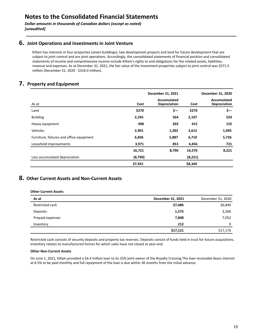### **6.** Joint Operations and Investments in Joint Venture

Killam has interests in four properties (seven buildings), two development projects and land for future development that are subject to joint control and are joint operations. Accordingly, the consolidated statements of financial position and consolidated statements of income and comprehensive income include Killam's rights to and obligations for the related assets, liabilities, revenue and expenses. As at December 31, 2021, the fair value of the investment properties subject to joint control was \$371.5 million (December 31, 2020 - \$316.0 million).

### **7. Property and Equipment**

|                                          |         | December 31, 2021                  |         | December 31, 2020                         |
|------------------------------------------|---------|------------------------------------|---------|-------------------------------------------|
| As at                                    | Cost    | Accumulated<br><b>Depreciation</b> | Cost    | <b>Accumulated</b><br><b>Depreciation</b> |
| Land                                     | \$270   | \$—                                | \$270   | \$—                                       |
| <b>Building</b>                          | 2,245   | 564                                | 2,107   | 524                                       |
| Heavy equipment                          | 498     | 203                                | 415     | 155                                       |
| <b>Vehicles</b>                          | 2,901   | 1,283                              | 2,612   | 1,095                                     |
| Furniture, fixtures and office equipment | 6,836   | 5,887                              | 6,710   | 5,726                                     |
| Leasehold improvements                   | 3,971   | 853                                | 4,456   | 721                                       |
|                                          | 16,721  | 8,790                              | 16,570  | 8,221                                     |
| Less accumulated depreciation            | (8,790) |                                    | (8,221) |                                           |
|                                          | \$7,931 |                                    | \$8,349 |                                           |

### **8. Other Current Assets and Non-Current Assets**

#### **Other Current Assets**

| As at            | December 31, 2021 | December 31, 2020 |
|------------------|-------------------|-------------------|
| Restricted cash  | \$7,486           | \$6,849           |
| Deposits         | 1,575             | 3,266             |
| Prepaid expenses | 7,848             | 7,052             |
| Inventory        | 212               | q                 |
|                  | \$17,121          | \$17,176          |

Restricted cash consists of security deposits and property tax reserves. Deposits consist of funds held in trust for future acquisitions. Inventory relates to manufactured homes for which sales have not closed at year-end.

#### **Other Non-Current Assets**

On June 1, 2021, Killam provided a \$4.4 million loan to its 25% joint owner of the Royalty Crossing The loan receivable bears interest at 6.5% to be paid monthly and full repayment of the loan is due within 36 months from the initial advance.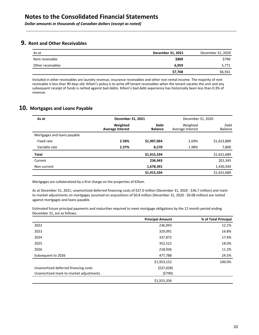### **9.** Rent and Other Receivables

| As at             | December 31, 2021 | December 31, 2020 |
|-------------------|-------------------|-------------------|
| Rent receivable   | \$809             | \$790             |
| Other receivables | 6.959             | 5,771             |
|                   | \$7,768           | \$6,561           |

Included in other receivables are laundry revenue, insurance receivables and other non-rental income. The majority of rent receivable is less than 90 days old. Killam's policy is to write off tenant receivables when the tenant vacates the unit and any subsequent receipt of funds is netted against bad debts. Killam's bad debt experience has historically been less than 0.3% of revenue. 

### **10.** Mortgages and Loans Payable

| As at                       | December 31, 2021                   |                               | December 31, 2020            |                        |
|-----------------------------|-------------------------------------|-------------------------------|------------------------------|------------------------|
|                             | Weighted<br><b>Average Interest</b> | <b>Debt</b><br><b>Balance</b> | Weighted<br>Average Interest | Debt<br><b>Balance</b> |
| Mortgages and loans payable |                                     |                               |                              |                        |
| Fixed rate                  | 2.58%                               | \$1,907,064                   | 2.69%                        | \$1,623,889            |
| Variable rate               | 2.37%                               | 8,270                         | 1.98%                        | 7,800                  |
| <b>Total</b>                |                                     | \$1,915,334                   |                              | \$1,631,689            |
| Current                     |                                     | 236,943                       |                              | 201,345                |
| Non-current                 |                                     | 1,678,391                     |                              | 1,430,344              |
|                             |                                     | \$1,915,334                   |                              | \$1,631,689            |

Mortgages are collateralized by a first charge on the properties of Killam.

As at December 31, 2021, unamortized deferred financing costs of \$37.0 million (December 31, 2020 - \$36.7 million) and markto-market adjustments on mortgages assumed on acquisitions of \$0.8 million (December 31, 2020 - \$0.08 million) are netted against mortgages and loans payable.

Estimated future principal payments and maturities required to meet mortgage obligations by the 12 month period ending December 31, are as follows:

|                                        | <b>Principal Amount</b> | % of Total Principal |
|----------------------------------------|-------------------------|----------------------|
| 2022                                   | 236,943                 | 12.1%                |
| 2023                                   | 329,091                 | 16.8%                |
| 2024                                   | 337,872                 | 17.4%                |
| 2025                                   | 352,522                 | 18.0%                |
| 2026                                   | 218,936                 | 11.2%                |
| Subsequent to 2026                     | 477,788                 | 24.5%                |
|                                        | \$1,953,152             | 100.0%               |
| Unamortized deferred financing costs   | ( \$37,028)             |                      |
| Unamortized mark-to-market adjustments | (5790)                  |                      |
|                                        | \$1,915,334             |                      |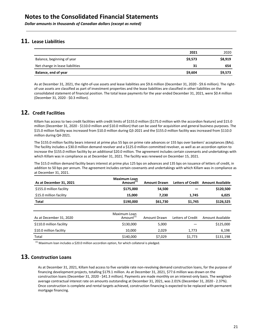### **11. Lease Liabilities**

|                                 | 2021    | 2020    |
|---------------------------------|---------|---------|
| Balance, beginning of year      | \$9,573 | \$8,919 |
| Net change in lease liabilities | 31      | 654     |
| Balance, end of year            | \$9,604 | \$9,573 |

As at December 31, 2021, the right-of-use assets and lease liabilities are \$9.6 million (December 31, 2020 - \$9.6 million). The rightof-use assets are classified as part of investment properties and the lease liabilities are classified in other liabilities on the consolidated statement of financial position. The total lease payments for the year ended December 31, 2021, were \$0.4 million (December 31, 2020 - \$0.3 million).

### **12. Credit Facilities**

Killam has access to two credit facilities with credit limits of \$155.0 million (\$175.0 million with the accordion feature) and \$15.0 million (December 31, 2020 - \$110.0 million and \$10.0 million) that can be used for acquisition and general business purposes. The \$15.0 million facility was increased from \$10.0 million during Q3-2021 and the \$155.0 million facility was increased from \$110.0 million during Q4-2021.

The \$155.0 million facility bears interest at prime plus 55 bps on prime rate advances or 155 bps over bankers' acceptances (BAs). The facility includes a \$30.0 million demand revolver and a \$125.0 million committed revolver, as well as an accordion option to increase the \$155.0 million facility by an additional \$20.0 million. The agreement includes certain covenants and undertakings with which Killam was in compliance as at December 31, 2021. The facility was renewed on December 15, 2021.

The \$15.0 million demand facility bears interest at prime plus 125 bps on advances and 135 bps on issuance of letters of credit, in addition to 50 bps per annum. The agreement includes certain covenants and undertakings with which Killam was in compliance as at December 31, 2021.

| As at December 31, 2021  | <b>Maximum Loan</b><br>Amount <sup>(1)</sup> | <b>Amount Drawn</b> | <b>Letters of Credit</b> | <b>Amount Available</b> |
|--------------------------|----------------------------------------------|---------------------|--------------------------|-------------------------|
| \$155.0 million facility | \$175,000                                    | 54,500              |                          | \$120,500               |
| \$15.0 million facility  | 15,000                                       | 7,230               | 1,745                    | 6,025                   |
| Total                    | \$190,000                                    | \$61,730            | \$1,745                  | \$126,525               |
|                          |                                              |                     |                          |                         |
| As at December 31, 2020  | Maximum Loan<br>Amount <sup>(1)</sup>        | Amount Drawn        | Letters of Credit        | Amount Available        |
| \$110.0 million facility | \$130,000                                    | 5,000               |                          | \$125,000               |
| \$10.0 million facility  | 10,000                                       | 2,029               | 1,773                    | 6,198                   |
| Total                    | \$140,000                                    | \$7.029             | \$1,773                  | \$131.198               |

 $<sup>(1)</sup>$  Maximum loan includes a \$20.0 million accordion option, for which collateral is pledged.</sup>

### **13. Construction Loans**

As at December 31, 2021, Killam had access to five variable rate non-revolving demand construction loans, for the purpose of financing development projects, totalling \$179.1 million. As at December 31, 2021, \$77.6 million was drawn on the construction loans (December 31, 2020 - \$41.3 million). Payments are made monthly on an interest-only basis. The weightedaverage contractual interest rate on amounts outstanding at December 31, 2021, was 2.01% (December 31, 2020 - 2.37%). Once construction is complete and rental targets achieved, construction financing is expected to be replaced with permanent mortgage financing.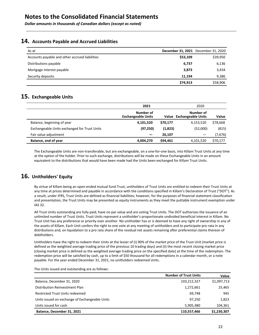### 14. Accounts Payable and Accrued Liabilities

| As at                                          |          | December 31, 2021 December 31, 2020 |
|------------------------------------------------|----------|-------------------------------------|
| Accounts payable and other accrued liabilities | \$53,109 | \$39,950                            |
| Distributions payable                          | 6,737    | 6,136                               |
| Mortgage interest payable                      | 3,873    | 3,434                               |
| Security deposits                              | 11.194   | 9,386                               |
|                                                | \$74,913 | \$58,906                            |

### **15.** Exchangeable Units

|                                              | 2021                                   | 2020     |                                       |          |
|----------------------------------------------|----------------------------------------|----------|---------------------------------------|----------|
|                                              | Number of<br><b>Exchangeable Units</b> |          | Number of<br>Value Exchangeable Units | Value    |
| Balance, beginning of year                   | 4,101,520                              | \$70,177 | 4,153,520                             | \$78,668 |
| Exchangeable Units exchanged for Trust Units | (97, 250)                              | (1,823)  | (52,000)                              | (815)    |
| Fair value adjustment                        | -                                      | 26.107   | $\overline{\phantom{0}}$              | (7,676)  |
| Balance, end of year                         | 4,004,270                              | \$94,461 | 4,101,520                             | \$70,177 |

The Exchangeable Units are non-transferable, but are exchangeable, on a one-for-one basis, into Killam Trust Units at any time at the option of the holder. Prior to such exchange, distributions will be made on these Exchangeable Units in an amount equivalent to the distributions that would have been made had the Units been exchanged for Killam Trust Units.

### 16. Unitholders' Equity

By virtue of Killam being an open-ended mutual fund Trust, unitholders of Trust Units are entitled to redeem their Trust Units at any time at prices determined and payable in accordance with the conditions specified in Killam's Declaration of Trust ("DOT"). As a result, under IFRS, Trust Units are defined as financial liabilities; however, for the purposes of financial statement classification and presentation, the Trust Units may be presented as equity instruments as they meet the puttable instrument exemption under IAS 32.

All Trust Units outstanding are fully paid, have no par value and are voting Trust Units. The DOT authorizes the issuance of an unlimited number of Trust Units. Trust Units represent a unitholder's proportionate undivided beneficial interest in Killam. No Trust Unit has any preference or priority over another. No unitholder has or is deemed to have any right of ownership in any of the assets of Killam. Each Unit confers the right to one vote at any meeting of unitholders and to participate pro rata in any distributions and, on liquidation to a pro rata share of the residual net assets remaining after preferential claims thereon of debtholders.

Unitholders have the right to redeem their Units at the lesser of (i) 90% of the market price of the Trust Unit (market price is defined as the weighted average trading price of the previous 10 trading days) and (ii) the most recent closing market price (closing market price is defined as the weighted average trading price on the specified date) at the time of the redemption. The redemption price will be satisfied by cash, up to a limit of \$50 thousand for all redemptions in a calendar month, or a note payable. For the year ended December 31, 2021, no unitholders redeemed Units.

The Units issued and outstanding are as follows:

|                                                | <b>Number of Trust Units</b> | Value       |
|------------------------------------------------|------------------------------|-------------|
| Balance, December 31, 2020                     | 103,212,327                  | \$1,097,713 |
| Distribution Reinvestment Plan                 | 1,272,661                    | 25,465      |
| <b>Restricted Trust Units redeemed</b>         | 69.748                       | 945         |
| Units issued on exchange of Exchangeable Units | 97.250                       | 1,823       |
| Units issued for cash                          | 5,905,480                    | 104,361     |
| Balance, December 31, 2021                     | 110,557,466                  | \$1,230,307 |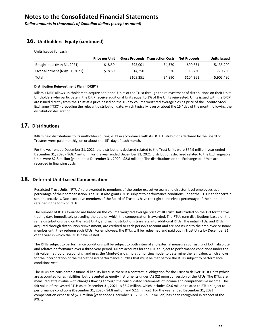### **16.** Unitholders' Equity (continued)

| Units issued for cash |  |
|-----------------------|--|
|                       |  |

|                               | <b>Price per Unit</b> |           | <b>Gross Proceeds Transaction Costs</b> | <b>Net Proceeds</b> | Units Issued |
|-------------------------------|-----------------------|-----------|-----------------------------------------|---------------------|--------------|
| Bought-deal (May 31, 2021)    | \$18.50               | \$95,001  | \$4.370                                 | \$90.631            | 5.135.200    |
| Over-allotment (May 31, 2021) | \$18.50               | 14.250    | 520                                     | 13.730              | 770,280      |
| Total                         |                       | \$109.251 | \$4,890                                 | \$104.361           | 5,905,480    |

#### **Distribution Reinvestment Plan ("DRIP")**

Killam's DRIP allows unitholders to acquire additional Units of the Trust through the reinvestment of distributions on their Units. Unitholders who participate in the DRIP receive additional Units equal to 3% of the Units reinvested. Units issued with the DRIP are issued directly from the Trust at a price based on the 10-day volume weighted average closing price of the Toronto Stock Exchange ("TSX") preceding the relevant distribution date, which typically is on or about the 15<sup>th</sup> day of the month following the distribution declaration.

### **17. Distributions**

Killam paid distributions to its unitholders during 2021 in accordance with its DOT. Distributions declared by the Board of Trustees were paid monthly, on or about the  $15<sup>th</sup>$  day of each month.

For the year ended December 31, 2021, the distributions declared related to the Trust Units were \$74.9 million (year ended December 31, 2020 - \$68.7 million). For the year ended December 31, 2021, distributions declared related to the Exchangeable Units were \$2.8 million (year ended December 31, 2020 - \$2.8 million). The distributions on the Exchangeable Units are recorded in financing costs.

### **18. Deferred Unit-based Compensation**

Restricted Trust Units ("RTUs") are awarded to members of the senior executive team and director-level employees as a percentage of their compensation. The Trust also grants RTUs subject to performance conditions under the RTU Plan for certain senior executives. Non-executive members of the Board of Trustees have the right to receive a percentage of their annual retainer in the form of RTUs.

The number of RTUs awarded are based on the volume weighted average price of all Trust Units traded on the TSX for the five trading days immediately preceding the date on which the compensation is awarded. The RTUs earn distributions based on the same distributions paid on the Trust Units, and such distributions translate into additional RTUs. The initial RTUs, and RTUs acquired through distribution reinvestment, are credited to each person's account and are not issued to the employee or Board member until they redeem such RTUs. For employees, the RTUs will be redeemed and paid out in Trust Units by December 31 of the year in which the RTUs have vested.

The RTUs subject to performance conditions will be subject to both internal and external measures consisting of both absolute and relative performance over a three-year period. Killam accounts for the RTUs subject to performance conditions under the fair value method of accounting, and uses the Monte-Carlo simulation pricing model to determine the fair value, which allows for the incorporation of the market based performance hurdles that must be met before the RTUs subject to performance conditions vest.

The RTUs are considered a financial liability because there is a contractual obligation for the Trust to deliver Trust Units (which are accounted for as liabilities, but presented as equity instruments under IAS 32) upon conversion of the RTUs. The RTUs are measured at fair value with changes flowing through the consolidated statements of income and comprehensive income. The fair value of the vested RTUs as at December 31, 2021, is \$6.4 million, which includes \$2.6 million related to RTUs subject to performance conditions (December 31, 2020 - \$4.8 million and \$2.1 million). For the year ended December 31, 2021, compensation expense of \$2.1 million (year ended December 31, 2020 - \$1.7 million) has been recognized in respect of the RTUs.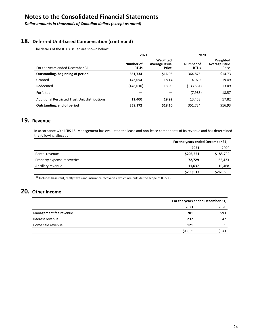# 18. Deferred Unit-based Compensation (continued)

The details of the RTUs issued are shown below:

|                                                       | 2021                     |                                           | 2020                     |                                    |
|-------------------------------------------------------|--------------------------|-------------------------------------------|--------------------------|------------------------------------|
| For the years ended December 31,                      | Number of<br><b>RTUs</b> | Weighted<br><b>Average Issue</b><br>Price | Number of<br><b>RTUs</b> | Weighted<br>Average Issue<br>Price |
| Outstanding, beginning of period                      | 351,734                  | \$16.93                                   | 364,875                  | \$14.73                            |
| Granted                                               | 143,054                  | 18.14                                     | 114,920                  | 19.49                              |
| Redeemed                                              | (148,016)                | 13.09                                     | (133, 531)               | 13.09                              |
| Forfeited                                             |                          |                                           | (7,988)                  | 18.57                              |
| <b>Additional Restricted Trust Unit distributions</b> | 12,400                   | 19.92                                     | 13,458                   | 17.82                              |
| Outstanding, end of period                            | 359,172                  | \$18.10                                   | 351,734                  | \$16.93                            |

### **19. Revenue**

In accordance with IFRS 15, Management has evaluated the lease and non-lease components of its revenue and has determined the following allocation:

|                               | For the years ended December 31, |           |  |
|-------------------------------|----------------------------------|-----------|--|
|                               | 2021                             | 2020      |  |
| Rental revenue <sup>(1)</sup> | \$206,551                        | \$185,799 |  |
| Property expense recoveries   | 72,729                           | 65,423    |  |
| Ancillary revenue             | 11,637                           | 10,468    |  |
|                               | \$290,917                        | \$261,690 |  |

 $<sup>(1)</sup>$  Includes base rent, realty taxes and insurance recoveries, which are outside the scope of IFRS 15.</sup>

# 20. Other Income

|                        | For the years ended December 31, |       |
|------------------------|----------------------------------|-------|
|                        | 2021                             | 2020  |
| Management fee revenue | 701                              | 593   |
| Interest revenue       | 237                              | 47    |
| Home sale revenue      | 121                              |       |
|                        | \$1,059                          | \$641 |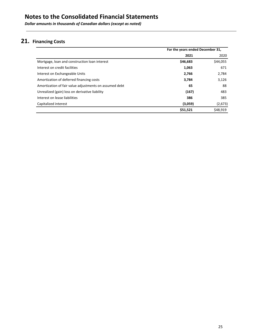# **Notes to the Consolidated Financial Statements**

**Dollar amounts in thousands of Canadian dollars (except as noted)** 

# **21.** Financing Costs

|                                                        | For the years ended December 31, |          |  |
|--------------------------------------------------------|----------------------------------|----------|--|
|                                                        | 2021                             | 2020     |  |
| Mortgage, loan and construction loan interest          | \$46,683                         | \$44,055 |  |
| Interest on credit facilities                          | 1,063                            | 671      |  |
| Interest on Exchangeable Units                         | 2,766                            | 2,784    |  |
| Amortization of deferred financing costs               | 3,784                            | 3,126    |  |
| Amortization of fair value adjustments on assumed debt | 65                               | 88       |  |
| Unrealized (gain) loss on derivative liability         | (167)                            | 483      |  |
| Interest on lease liabilities                          | 386                              | 385      |  |
| Capitalized interest                                   | (3,059)                          | (2,673)  |  |
|                                                        | \$51,521                         | \$48.919 |  |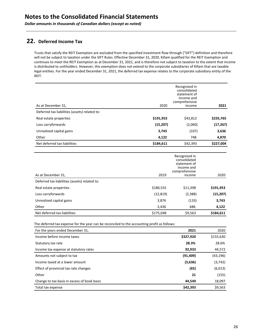## **22. Deferred Income Tax**

Trusts that satisfy the REIT Exemption are excluded from the specified investment flow-through ("SIFT") definition and therefore will not be subject to taxation under the SIFT Rules. Effective December 31, 2020, Killam qualified for the REIT Exemption and continues to meet the REIT Exemption as at December 31, 2021, and is therefore not subject to taxation to the extent that income is distributed to unitholders. However, this exemption does not extend to the corporate subsidiaries of Killam that are taxable legal entities. For the year ended December 31, 2021, the deferred tax expense relates to the corporate subsidiary entity of the REIT.

| As at December 31,                            | 2020      | Recognized in<br>consolidated<br>statement of<br>income and<br>comprehensive<br>income | 2021      |
|-----------------------------------------------|-----------|----------------------------------------------------------------------------------------|-----------|
| Deferred tax liabilities (assets) related to: |           |                                                                                        |           |
| Real estate properties                        | \$191,953 | \$43,812                                                                               | \$235,765 |
| Loss carryforwards                            | (15, 207) | (2,060)                                                                                | (17, 267) |
| Unrealized capital gains                      | 3,743     | (107)                                                                                  | 3,636     |
| Other                                         | 4,122     | 748                                                                                    | 4,870     |
| Net deferred tax liabilities                  | \$184,611 | \$42,393                                                                               | \$227,004 |

| As at December 31,                            | 2019      | Recognized in<br>consolidated<br>statement of<br>income and<br>comprehensive<br>income | 2020      |
|-----------------------------------------------|-----------|----------------------------------------------------------------------------------------|-----------|
| Deferred tax liabilities (assets) related to: |           |                                                                                        |           |
| Real estate properties                        | \$180,555 | \$11,398                                                                               | \$191,953 |
| Loss carryforwards                            | (12, 819) | (2,388)                                                                                | (15, 207) |
| Unrealized capital gains                      | 3,876     | (133)                                                                                  | 3,743     |
| Other                                         | 3,436     | 686                                                                                    | 4,122     |
| Net deferred tax liabilities                  | \$175,048 | \$9,563                                                                                | \$184.611 |

The deferred tax expense for the year can be reconciled to the accounting profit as follows:

| For the years ended December 31,            | 2021      | 2020      |
|---------------------------------------------|-----------|-----------|
| Income before income taxes                  | \$327,920 | \$155,630 |
| Statutory tax rate                          | 28.3%     | 28.6%     |
| Income tax expense at statutory rates       | 92,933    | 44,572    |
| Amounts not subject to tax                  | (91, 409) | (43, 196) |
| Income taxed at a lower amount              | (3,636)   | (3,742)   |
| Effect of provincial tax rate changes       | (65)      | (6,013)   |
| Other                                       | 21        | (155)     |
| Change to tax basis in excess of book basis | 44,549    | 18,097    |
| Total tax expense                           | \$42,393  | \$9,563   |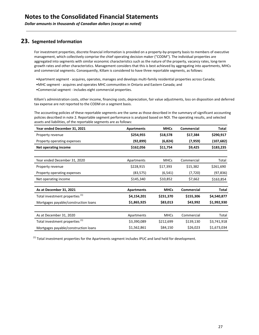### **23.** Segmented Information

For investment properties, discrete financial information is provided on a property-by-property basis to members of executive management, which collectively comprise the chief operating decision maker ("CODM"). The individual properties are aggregated into segments with similar economic characteristics such as the nature of the property, vacancy rates, long-term growth rates and other characteristics. Management considers that this is best achieved by aggregating into apartments, MHCs and commercial segments. Consequently, Killam is considered to have three reportable segments, as follows:

- Apartment segment acquires, operates, manages and develops multi-family residential properties across Canada;
- MHC segment acquires and operates MHC communities in Ontario and Eastern Canada; and
- Commercial segment includes eight commercial properties.

Killam's administration costs, other income, financing costs, depreciation, fair value adjustments, loss on disposition and deferred tax expense are not reported to the CODM on a segment basis.

The accounting policies of these reportable segments are the same as those described in the summary of significant accounting policies described in note 2. Reportable segment performance is analyzed based on NOI. The operating results, and selected assets and liabilities, of the reportable segments are as follows:

| Year ended December 31, 2021               | <b>Apartments</b> | <b>MHCs</b> | <b>Commercial</b> | Total       |
|--------------------------------------------|-------------------|-------------|-------------------|-------------|
| Property revenue                           | \$254,955         | \$18,578    | \$17,384          | \$290,917   |
| Property operating expenses                | (92, 899)         | (6,824)     | (7,959)           | (107, 682)  |
| Net operating income                       | \$162,056         | \$11,754    | \$9,425           | \$183,235   |
|                                            |                   |             |                   |             |
| Year ended December 31, 2020               | Apartments        | <b>MHCs</b> | Commercial        | Total       |
| Property revenue                           | \$228,915         | \$17,393    | \$15,382          | \$261,690   |
| Property operating expenses                | (83, 575)         | (6, 541)    | (7, 720)          | (97, 836)   |
| Net operating income                       | \$145,340         | \$10,852    | \$7,662           | \$163,854   |
|                                            |                   |             |                   |             |
| As at December 31, 2021                    | <b>Apartments</b> | <b>MHCs</b> | <b>Commercial</b> | Total       |
| Total investment properties <sup>(1)</sup> | \$4,154,201       | \$231,370   | \$155,306         | \$4,540,877 |
| Mortgages payable/construction loans       | \$1,865,925       | \$83,013    | \$43,992          | \$1,992,930 |
|                                            |                   |             |                   |             |
| As at December 31, 2020                    | Apartments        | <b>MHCs</b> | Commercial        | Total       |
| Total investment properties <sup>(1)</sup> | \$3,390,089       | \$212,699   | \$139,130         | \$3,741,918 |
| Mortgages payable/construction loans       | \$1,562,861       | \$84,150    | \$26,023          | \$1,673,034 |

 $<sup>(1)</sup>$  Total investment properties for the Apartments segment includes IPUC and land held for development.</sup>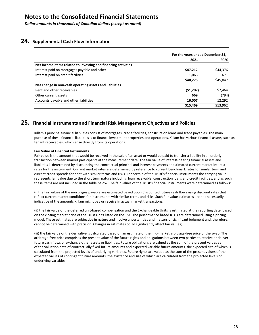### **24. Supplemental Cash Flow Information**

|                                                                | For the years ended December 31, |          |  |
|----------------------------------------------------------------|----------------------------------|----------|--|
|                                                                | 2021                             | 2020     |  |
| Net income items related to investing and financing activities |                                  |          |  |
| Interest paid on mortgages payable and other                   | \$47,212                         | \$44,376 |  |
| Interest paid on credit facilities                             | 1.063                            | 671      |  |
|                                                                | \$48,275                         | \$45,047 |  |
| Net change in non-cash operating assets and liabilities        |                                  |          |  |
| Rent and other receivables                                     | (51, 207)                        | \$2,464  |  |
| Other current assets                                           | 669                              | (794)    |  |
| Accounts payable and other liabilities                         | 16,007                           | 12,292   |  |
|                                                                | \$15,469                         | \$13,962 |  |

### **25. Financial Instruments and Financial Risk Management Objectives and Policies**

Killam's principal financial liabilities consist of mortgages, credit facilities, construction loans and trade payables. The main purpose of these financial liabilities is to finance investment properties and operations. Killam has various financial assets, such as tenant receivables, which arise directly from its operations.

#### **Fair Value of Financial Instruments**

Fair value is the amount that would be received in the sale of an asset or would be paid to transfer a liability in an orderly transaction between market participants at the measurement date. The fair value of interest-bearing financial assets and liabilities is determined by discounting the contractual principal and interest payments at estimated current market interest rates for the instrument. Current market rates are determined by reference to current benchmark rates for similar term and current credit spreads for debt with similar terms and risks. For certain of the Trust's financial instruments the carrying value represents fair value due to the short term nature including, loan receivable, construction loans and credit facilities, and as such these items are not included in the table below. The fair values of the Trust's financial instruments were determined as follows:

(i) the fair values of the mortgages payable are estimated based upon discounted future cash flows using discount rates that reflect current market conditions for instruments with similar terms and risks. Such fair value estimates are not necessarily indicative of the amounts Killam might pay or receive in actual market transactions;

(ii) the fair value of the deferred unit-based compensation and the Exchangeable Units is estimated at the reporting date, based on the closing market price of the Trust Units listed on the TSX. The performance based RTUs are determined using a pricing model. These estimates are subjective in nature and involve uncertainties and matters of significant judgment and, therefore, cannot be determined with precision. Changes in estimates could significantly affect fair values;

(iii) the fair value of the derivative is calculated based on an estimate of the mid-market arbitrage-free price of the swap. The arbitrage-free price comprises the present value of the future rights and obligations between two parties to receive or deliver future cash flows or exchange other assets or liabilities. Future obligations are valued as the sum of the present values as of the valuation date of contractually fixed future amounts and expected variable future amounts, the expected size of which is calculated from the projected levels of underlying variables. Future rights are valued as the sum of the present values of the expected values of contingent future amounts, the existence and size of which are calculated from the projected levels of underlying variables.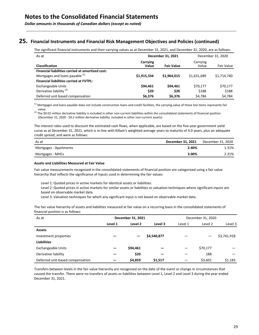### **25. Financial Instruments and Financial Risk Management Objectives and Policies (continued)**

The significant financial instruments and their carrying values as at December 31, 2021, and December 31, 2020, are as follows:

| As at                                            | December 31, 2021 |                   | December 31, 2020 |             |
|--------------------------------------------------|-------------------|-------------------|-------------------|-------------|
| <b>Classification</b>                            | Carrying<br>Value | <b>Fair Value</b> | Carrying<br>Value | Fair Value  |
| Financial liabilities carried at amortized cost: |                   |                   |                   |             |
| Mortgages and loans payable (1)                  | \$1,915,334       | \$1,964,015       | \$1,631,689       | \$1,714,740 |
| <b>Financial liabilities carried at FVTPL:</b>   |                   |                   |                   |             |
| <b>Exchangeable Units</b>                        | \$94.461          | \$94,461          | \$70,177          | \$70,177    |
| Derivative liability <sup>(2)</sup>              | \$20              | \$20              | \$188             | \$188       |
| Deferred unit-based compensation                 | \$6,376           | \$6,376           | \$4,784           | \$4,784     |

 $<sup>(1)</sup>$  Mortgages and loans payable does not include construction loans and credit facilities, the carrying value of these line items represents fair</sup> value.

 $(2)$  The \$0.02 million derivative liability is included in other non-current liabilities within the consolidated statements of financial position (December 31, 2020 - \$0.2 million derivative liability included in other non-current assets).

The interest rates used to discount the estimated cash flows, when applicable, are based on the five-year government yield curve as at December 31, 2021, which is in-line with Killam's weighted average years to maturity of 4.0 years, plus an adequate credit spread, and were as follows:

| As at                  | December 31, 2021 | December 31, 2020 |
|------------------------|-------------------|-------------------|
| Mortgages - Apartments | 2.40%             | 1.31%             |
| Mortgages - MHCs       | 3.00%             | 2.31%             |

#### **Assets and Liabilities Measured at Fair Value**

Fair value measurements recognized in the consolidated statements of financial position are categorized using a fair value hierarchy that reflects the significance of inputs used in determining the fair values:

Level 1: Quoted prices in active markets for identical assets or liabilities.

Level 2: Quoted prices in active markets for similar assets or liabilities or valuation techniques where significant inputs are based on observable market data.

Level 3: Valuation techniques for which any significant input is not based on observable market data.

The fair value hierarchy of assets and liabilities measured at fair value on a recurring basis in the consolidated statements of financial position is as follows:

| As at                            | December 31, 2021 |          | December 31, 2020 |         |          |             |
|----------------------------------|-------------------|----------|-------------------|---------|----------|-------------|
|                                  | Level 1           | Level 2  | Level 3           | Level 1 | Level 2  | Level 3     |
| <b>Assets</b>                    |                   |          |                   |         |          |             |
| Investment properties            |                   | –        | \$4,540,877       |         |          | \$3,741,918 |
| <b>Liabilities</b>               |                   |          |                   |         |          |             |
| Exchangeable Units               | –                 | \$94,461 |                   |         | \$70,177 |             |
| Derivative liability             |                   | \$20     |                   |         | 188      |             |
| Deferred unit-based compensation |                   | \$4,859  | \$1,517           |         | \$3,601  | \$1,183     |

Transfers between levels in the fair value hierarchy are recognized on the date of the event or change in circumstances that caused the transfer. There were no transfers of assets or liabilities between Level 1, Level 2 and Level 3 during the year ended December 31, 2021.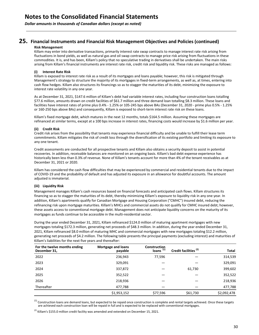### **25. Financial Instruments and Financial Risk Management Objectives and Policies (continued)**

#### **Risk Management**

Killam may enter into derivative transactions, primarily interest rate swap contracts to manage interest rate risk arising from fluctuations in bond yields, as well as natural gas and oil swap contracts to manage price risk arising from fluctuations in these commodities. It is, and has been, Killam's policy that no speculative trading in derivatives shall be undertaken. The main risks arising from Killam's financial instruments are interest rate risk, credit risk and liquidity risk. These risks are managed as follows:

#### **(i) Interest Rate Risk**

Killam is exposed to interest rate risk as a result of its mortgages and loans payable; however, this risk is mitigated through Management's strategy to structure the majority of its mortgages in fixed-term arrangements, as well as, at times, entering into cash flow hedges. Killam also structures its financings so as to stagger the maturities of its debt, minimizing the exposure to interest rate volatility in any one year.

As at December 31, 2021, \$147.6 million of Killam's debt had variable interest rates, including four construction loans totalling \$77.6 million, amounts drawn on credit facilities of \$61.7 million and three demand loan totalling \$8.3 million. These loans and facilities have interest rates of prime plus 0.4% - 1.25% or 105-245 bps above BAs (December 31, 2020 - prime plus 0.5% - 1.25% or 160-250 bps above BAs) and consequently, Killam is exposed to short-term interest rate risk on these loans.

Killam's fixed mortgage debt, which matures in the next 12 months, totals \$164.5 million. Assuming these mortgages are refinanced at similar terms, except at a 100 bps increase in interest rates, financing costs would increase by \$1.6 million per year.

#### **(ii) Credit Risk**

Credit risk arises from the possibility that tenants may experience financial difficulty and be unable to fulfill their lease term commitments. Killam mitigates the risk of credit loss through the diversification of its existing portfolio and limiting its exposure to any one tenant.

Credit assessments are conducted for all prospective tenants and Killam also obtains a security deposit to assist in potential recoveries. In addition, receivable balances are monitored on an ongoing basis. Killam's bad debt expense experience has historically been less than 0.3% of revenue. None of Killam's tenants account for more than 4% of the tenant receivables as at December 31, 2021 or 2020.

Killam has considered the cash flow difficulties that may be experienced by commercial and residential tenants due to the impact of COVID-19 and the probability of default and has adjusted its exposure in an allowance for doubtful accounts. The amount adjusted is immaterial.

#### **(iii) Liquidity Risk**

Management manages Killam's cash resources based on financial forecasts and anticipated cash flows. Killam structures its financing so as to stagger the maturities of its debt, thereby minimizing Killam's exposure to liquidity risk in any one year. In addition, Killam's apartments qualify for Canadian Mortgage and Housing Corporation ("CMHC") insured debt, reducing the refinancing risk upon mortgage maturities. Killam's MHCs and commercial assets do not qualify for CMHC insured debt; however, these assets access to conventional mortgage debt. Management does not anticipate liquidity concerns on the maturity of its mortgages as funds continue to be accessible in the multi-residential sector.

During the year ended December 31, 2021, Killam refinanced \$124.0 million of maturing apartment mortgages with new mortgages totaling \$172.3 million, generating net proceeds of \$48.3 million. In addition, during the year ended December 31, 2021, Killam refinanced \$8.0 million of maturing MHC and commercial mortgages with new mortgages totaling \$12.2 million, generating net proceeds of \$4.2 million. The following table presents the principal payments (excluding interest) and maturities of Killam's liabilities for the next five years and thereafter:

| For the twelve months ending<br>December 31, | <b>Mortgage and loans</b><br>payable | Construction<br>(1)<br>loans | Credit facilities <sup>(2)</sup> | <b>Total</b> |
|----------------------------------------------|--------------------------------------|------------------------------|----------------------------------|--------------|
| 2022                                         | 236,943                              | 77,596                       |                                  | 314,539      |
| 2023                                         | 329,091                              |                              |                                  | 329,091      |
| 2024                                         | 337,872                              |                              | 61,730                           | 399,602      |
| 2025                                         | 352,522                              |                              |                                  | 352,522      |
| 2026                                         | 218,936                              |                              |                                  | 218,936      |
| Thereafter                                   | 477,788                              |                              |                                  | 477,788      |
|                                              | \$1,953,152                          | \$77,596                     | \$61,730                         | \$2,092,478  |

 $<sup>(1)</sup>$  Construction loans are demand loans, but expected to be repaid once construction is complete and rental targets achieved. Once these targets</sup> are achieved each construction loan will be repaid in full and is expected to be replaced with conventional mortgages.

 $(2)$  Killam's \$155.0 million credit facility was amended and extended on December 15, 2021.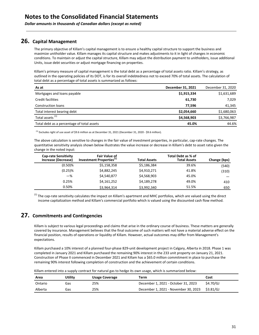### **26. Capital Management**

The primary objective of Killam's capital management is to ensure a healthy capital structure to support the business and maximize unitholder value. Killam manages its capital structure and makes adjustments to it in light of changes in economic conditions. To maintain or adjust the capital structure, Killam may adjust the distribution payment to unitholders, issue additional Units, issue debt securities or adjust mortgage financing on properties.

Killam's primary measure of capital management is the total debt as a percentage of total assets ratio. Killam's strategy, as outlined in the operating policies of its DOT, is for its overall indebtedness not to exceed 70% of total assets. The calculation of total debt as a percentage of total assets is summarized as follows:

| As at                                      | December 31, 2021 | December 31, 2020 |
|--------------------------------------------|-------------------|-------------------|
| Mortgages and loans payable                | \$1,915,334       | \$1,631,689       |
| Credit facilities                          | 61,730            | 7,029             |
| <b>Construction loans</b>                  | 77.596            | 41,345            |
| Total interest bearing debt                | \$2,054,660       | \$1,680,063       |
| Total assets <sup>(1)</sup>                | \$4,568,903       | \$3,766,987       |
| Total debt as a percentage of total assets | 45.0%             | 44.6%             |

  $^{(1)}$  Excludes right of use asset of \$9.6 million as at December 31, 2021 (December 31, 2020 - \$9.6 million).

The above calculation is sensitive to changes in the fair value of investment properties, in particular, cap-rate changes. The quantitative sensitivity analysis shown below illustrates the value increase or decrease in Killam's debt to asset ratio given the change in the noted input:

| <b>Cap-rate Sensitivity</b><br>Increase (Decrease) | <b>Fair Value of</b><br>Investment Properties <sup>(1)</sup> | <b>Total Assets</b> | Total Debt as % of<br><b>Total Assets</b> | Change (bps) |
|----------------------------------------------------|--------------------------------------------------------------|---------------------|-------------------------------------------|--------------|
| $(0.50)$ %                                         | \$5,158,358                                                  | \$5,186,384         | 39.6%                                     | (540)        |
| $(0.25)$ %                                         | \$4,882,245                                                  | \$4,910,271         | 41.8%                                     | (310)        |
| $-\%$                                              | \$4,540,877                                                  | \$4,568,903         | 45.0%                                     |              |
| 0.25%                                              | \$4,161,252                                                  | \$4,189,278         | 49.0%                                     | 410          |
| 0.50%                                              | \$3,964,314                                                  | \$3,992,340         | 51.5%                                     | 650          |

 $<sup>(1)</sup>$  The cap-rate sensitivity calculates the impact on Killam's apartment and MHC portfolios, which are valued using the direct</sup> income capitalization method and Killam's commercial portfolio which is valued using the discounted cash flow method.

### **27. Commitments and Contingencies**

Killam is subject to various legal proceedings and claims that arise in the ordinary course of business. These matters are generally covered by insurance. Management believes that the final outcome of such matters will not have a material adverse effect on the financial position, results of operations or liquidity of Killam. However, actual outcomes may differ from Management's expectations.

Killam purchased a 10% interest of a planned four-phase 829-unit development project in Calgary, Alberta in 2018. Phase 1 was completed in January 2021 and Killam purchased the remaining 90% interest in the 233 unit property on January 21, 2021. Construction of Phase II commenced in December 2021 and Killam has a \$65.0 million commitment in place to purchase the remaining 90% interest following completion of construction and the achievement of certain conditions.

Killam entered into a supply contract for natural gas to hedge its own usage, which is summarized below:

| Area    | Utilitv | <b>Usage Coverage</b> | Term                                 | Cost      |
|---------|---------|-----------------------|--------------------------------------|-----------|
| Ontario | Gas     | 25%                   | December 1, 2021 - October 31, 2023  | \$4.70/GJ |
| Alberta | Gas     | 25%                   | December 1, 2021 - November 30, 2023 | \$3.81/GJ |